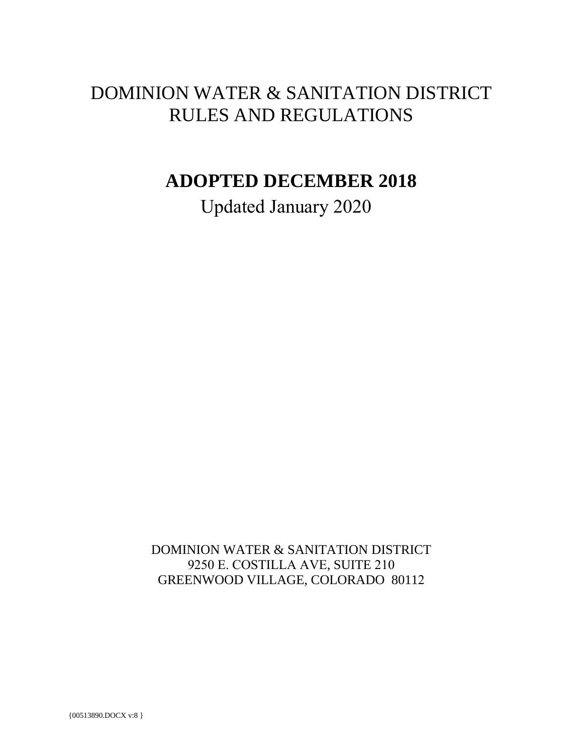# DOMINION WATER & SANITATION DISTRICT RULES AND REGULATIONS

# **ADOPTED DECEMBER 2018**

Updated January 2020

DOMINION WATER & SANITATION DISTRICT 9250 E. COSTILLA AVE, SUITE 210 GREENWOOD VILLAGE, COLORADO 80112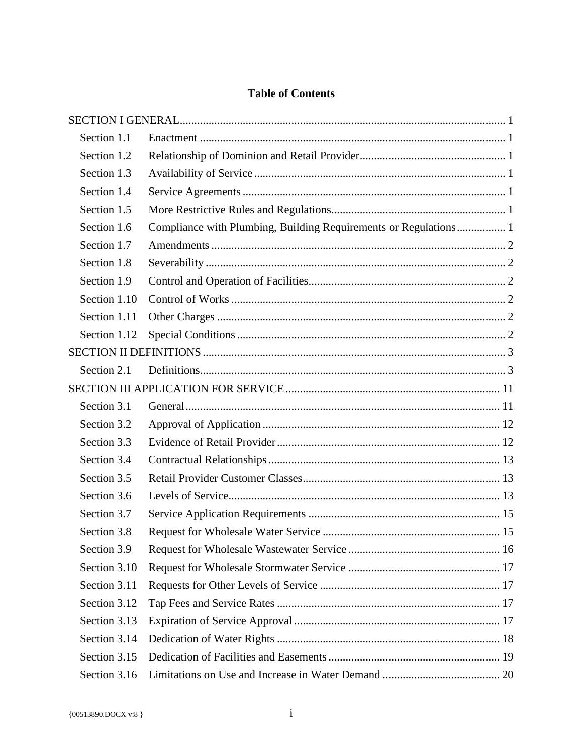# **Table of Contents**

| Section 1.1  |                                                                  |  |
|--------------|------------------------------------------------------------------|--|
| Section 1.2  |                                                                  |  |
| Section 1.3  |                                                                  |  |
| Section 1.4  |                                                                  |  |
| Section 1.5  |                                                                  |  |
| Section 1.6  | Compliance with Plumbing, Building Requirements or Regulations 1 |  |
| Section 1.7  |                                                                  |  |
| Section 1.8  |                                                                  |  |
| Section 1.9  |                                                                  |  |
| Section 1.10 |                                                                  |  |
| Section 1.11 |                                                                  |  |
| Section 1.12 |                                                                  |  |
|              |                                                                  |  |
| Section 2.1  |                                                                  |  |
|              |                                                                  |  |
| Section 3.1  |                                                                  |  |
| Section 3.2  |                                                                  |  |
| Section 3.3  |                                                                  |  |
| Section 3.4  |                                                                  |  |
| Section 3.5  |                                                                  |  |
| Section 3.6  |                                                                  |  |
| Section 3.7  |                                                                  |  |
| Section 3.8  |                                                                  |  |
| Section 3.9  |                                                                  |  |
| Section 3.10 |                                                                  |  |
| Section 3.11 |                                                                  |  |
| Section 3.12 |                                                                  |  |
| Section 3.13 |                                                                  |  |
| Section 3.14 |                                                                  |  |
| Section 3.15 |                                                                  |  |
| Section 3.16 |                                                                  |  |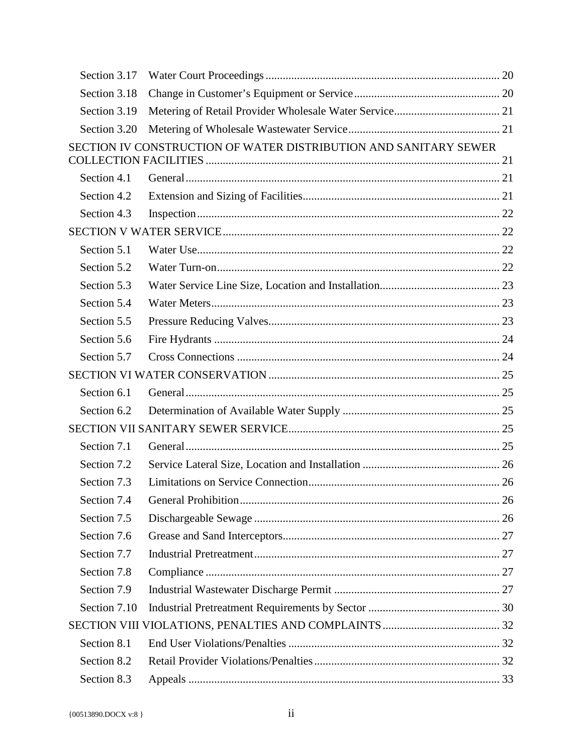| SECTION IV CONSTRUCTION OF WATER DISTRIBUTION AND SANITARY SEWER |  |
|------------------------------------------------------------------|--|
|                                                                  |  |
|                                                                  |  |
|                                                                  |  |
|                                                                  |  |
|                                                                  |  |
|                                                                  |  |
|                                                                  |  |
|                                                                  |  |
|                                                                  |  |
|                                                                  |  |
|                                                                  |  |
|                                                                  |  |
|                                                                  |  |
|                                                                  |  |
|                                                                  |  |
|                                                                  |  |
|                                                                  |  |
|                                                                  |  |
|                                                                  |  |
|                                                                  |  |
|                                                                  |  |
|                                                                  |  |
|                                                                  |  |
|                                                                  |  |
|                                                                  |  |
|                                                                  |  |
|                                                                  |  |
|                                                                  |  |
|                                                                  |  |
|                                                                  |  |
|                                                                  |  |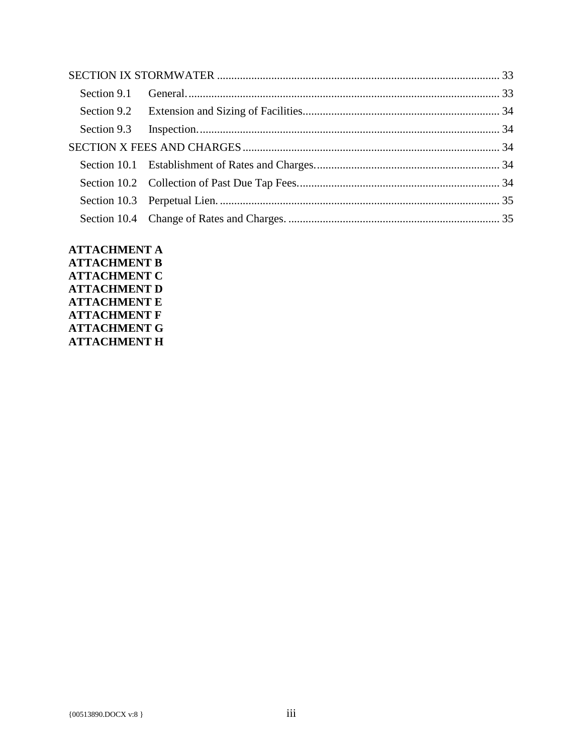**ATTACHMENT A ATTACHMENT B ATTACHMENT C ATTACHMENT D ATTACHMENT E ATTACHMENT F ATTACHMENT G ATTACHMENT H**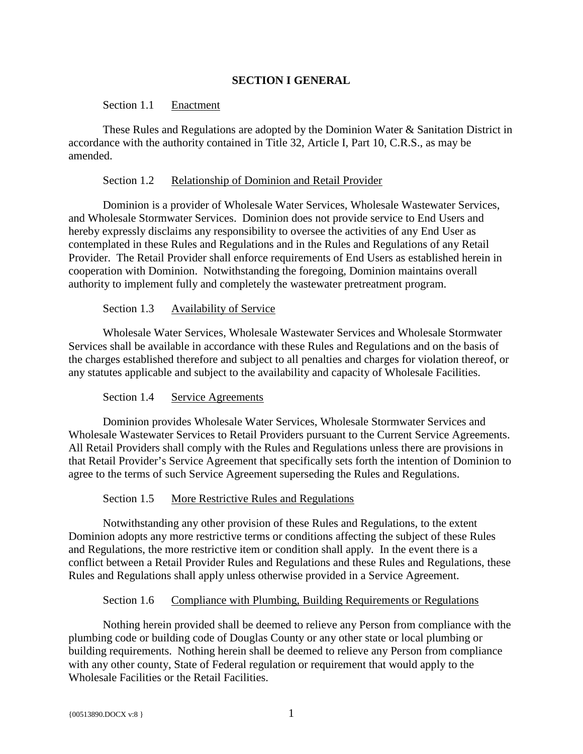# **SECTION I GENERAL**

#### <span id="page-4-0"></span>Section 1.1 Enactment

<span id="page-4-1"></span>These Rules and Regulations are adopted by the Dominion Water & Sanitation District in accordance with the authority contained in Title 32, Article I, Part 10, C.R.S., as may be amended.

#### Section 1.2 Relationship of Dominion and Retail Provider

<span id="page-4-2"></span>Dominion is a provider of Wholesale Water Services, Wholesale Wastewater Services, and Wholesale Stormwater Services. Dominion does not provide service to End Users and hereby expressly disclaims any responsibility to oversee the activities of any End User as contemplated in these Rules and Regulations and in the Rules and Regulations of any Retail Provider. The Retail Provider shall enforce requirements of End Users as established herein in cooperation with Dominion. Notwithstanding the foregoing, Dominion maintains overall authority to implement fully and completely the wastewater pretreatment program.

#### Section 1.3 Availability of Service

<span id="page-4-3"></span>Wholesale Water Services, Wholesale Wastewater Services and Wholesale Stormwater Services shall be available in accordance with these Rules and Regulations and on the basis of the charges established therefore and subject to all penalties and charges for violation thereof, or any statutes applicable and subject to the availability and capacity of Wholesale Facilities.

#### Section 1.4 Service Agreements

<span id="page-4-4"></span>Dominion provides Wholesale Water Services, Wholesale Stormwater Services and Wholesale Wastewater Services to Retail Providers pursuant to the Current Service Agreements. All Retail Providers shall comply with the Rules and Regulations unless there are provisions in that Retail Provider's Service Agreement that specifically sets forth the intention of Dominion to agree to the terms of such Service Agreement superseding the Rules and Regulations.

#### Section 1.5 More Restrictive Rules and Regulations

<span id="page-4-5"></span>Notwithstanding any other provision of these Rules and Regulations, to the extent Dominion adopts any more restrictive terms or conditions affecting the subject of these Rules and Regulations, the more restrictive item or condition shall apply. In the event there is a conflict between a Retail Provider Rules and Regulations and these Rules and Regulations, these Rules and Regulations shall apply unless otherwise provided in a Service Agreement.

#### Section 1.6 Compliance with Plumbing, Building Requirements or Regulations

<span id="page-4-6"></span>Nothing herein provided shall be deemed to relieve any Person from compliance with the plumbing code or building code of Douglas County or any other state or local plumbing or building requirements. Nothing herein shall be deemed to relieve any Person from compliance with any other county, State of Federal regulation or requirement that would apply to the Wholesale Facilities or the Retail Facilities.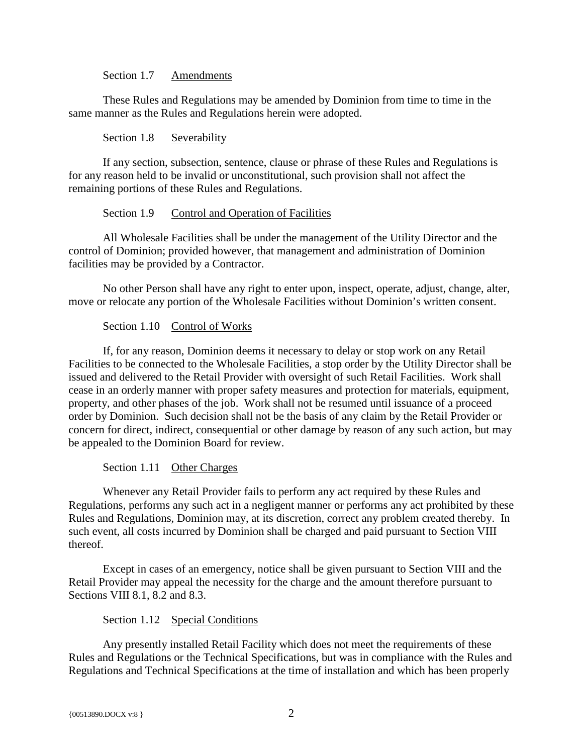Section 1.7 Amendments

<span id="page-5-0"></span>These Rules and Regulations may be amended by Dominion from time to time in the same manner as the Rules and Regulations herein were adopted.

Section 1.8 Severability

<span id="page-5-1"></span>If any section, subsection, sentence, clause or phrase of these Rules and Regulations is for any reason held to be invalid or unconstitutional, such provision shall not affect the remaining portions of these Rules and Regulations.

#### Section 1.9 Control and Operation of Facilities

<span id="page-5-2"></span>All Wholesale Facilities shall be under the management of the Utility Director and the control of Dominion; provided however, that management and administration of Dominion facilities may be provided by a Contractor.

No other Person shall have any right to enter upon, inspect, operate, adjust, change, alter, move or relocate any portion of the Wholesale Facilities without Dominion's written consent.

#### Section 1.10 Control of Works

<span id="page-5-3"></span>If, for any reason, Dominion deems it necessary to delay or stop work on any Retail Facilities to be connected to the Wholesale Facilities, a stop order by the Utility Director shall be issued and delivered to the Retail Provider with oversight of such Retail Facilities. Work shall cease in an orderly manner with proper safety measures and protection for materials, equipment, property, and other phases of the job. Work shall not be resumed until issuance of a proceed order by Dominion. Such decision shall not be the basis of any claim by the Retail Provider or concern for direct, indirect, consequential or other damage by reason of any such action, but may be appealed to the Dominion Board for review.

Section 1.11 Other Charges

<span id="page-5-4"></span>Whenever any Retail Provider fails to perform any act required by these Rules and Regulations, performs any such act in a negligent manner or performs any act prohibited by these Rules and Regulations, Dominion may, at its discretion, correct any problem created thereby. In such event, all costs incurred by Dominion shall be charged and paid pursuant to Section VIII thereof.

Except in cases of an emergency, notice shall be given pursuant to Section VIII and the Retail Provider may appeal the necessity for the charge and the amount therefore pursuant to Sections VIII 8.1, 8.2 and 8.3.

#### Section 1.12 Special Conditions

<span id="page-5-5"></span>Any presently installed Retail Facility which does not meet the requirements of these Rules and Regulations or the Technical Specifications, but was in compliance with the Rules and Regulations and Technical Specifications at the time of installation and which has been properly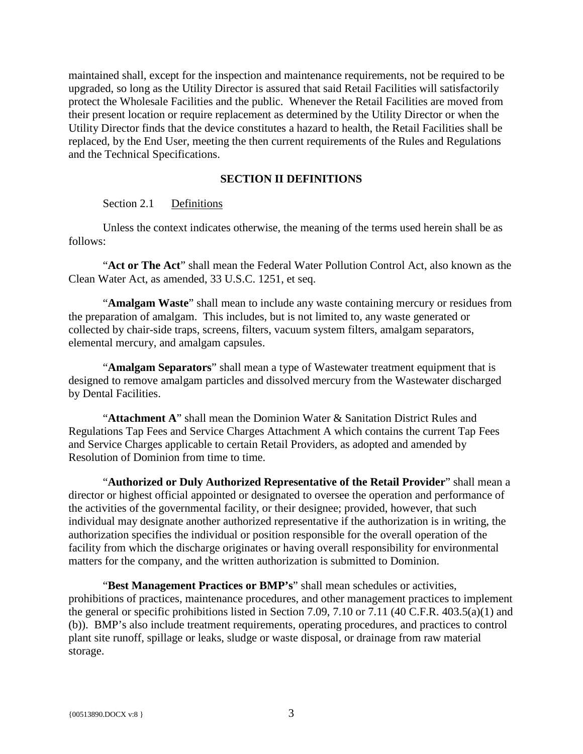maintained shall, except for the inspection and maintenance requirements, not be required to be upgraded, so long as the Utility Director is assured that said Retail Facilities will satisfactorily protect the Wholesale Facilities and the public. Whenever the Retail Facilities are moved from their present location or require replacement as determined by the Utility Director or when the Utility Director finds that the device constitutes a hazard to health, the Retail Facilities shall be replaced, by the End User, meeting the then current requirements of the Rules and Regulations and the Technical Specifications.

#### **SECTION II DEFINITIONS**

#### <span id="page-6-0"></span>Section 2.1 Definitions

<span id="page-6-1"></span>Unless the context indicates otherwise, the meaning of the terms used herein shall be as follows:

"**Act or The Act**" shall mean the Federal Water Pollution Control Act, also known as the Clean Water Act, as amended, 33 U.S.C. 1251, et seq.

"**Amalgam Waste**" shall mean to include any waste containing mercury or residues from the preparation of amalgam. This includes, but is not limited to, any waste generated or collected by chair-side traps, screens, filters, vacuum system filters, amalgam separators, elemental mercury, and amalgam capsules.

"**Amalgam Separators**" shall mean a type of Wastewater treatment equipment that is designed to remove amalgam particles and dissolved mercury from the Wastewater discharged by Dental Facilities.

"**Attachment A**" shall mean the Dominion Water & Sanitation District Rules and Regulations Tap Fees and Service Charges Attachment A which contains the current Tap Fees and Service Charges applicable to certain Retail Providers, as adopted and amended by Resolution of Dominion from time to time.

"**Authorized or Duly Authorized Representative of the Retail Provider**" shall mean a director or highest official appointed or designated to oversee the operation and performance of the activities of the governmental facility, or their designee; provided, however, that such individual may designate another authorized representative if the authorization is in writing, the authorization specifies the individual or position responsible for the overall operation of the facility from which the discharge originates or having overall responsibility for environmental matters for the company, and the written authorization is submitted to Dominion.

"**Best Management Practices or BMP's**" shall mean schedules or activities, prohibitions of practices, maintenance procedures, and other management practices to implement the general or specific prohibitions listed in Section 7.09, 7.10 or 7.11 (40 C.F.R. 403.5(a)(1) and (b)). BMP's also include treatment requirements, operating procedures, and practices to control plant site runoff, spillage or leaks, sludge or waste disposal, or drainage from raw material storage.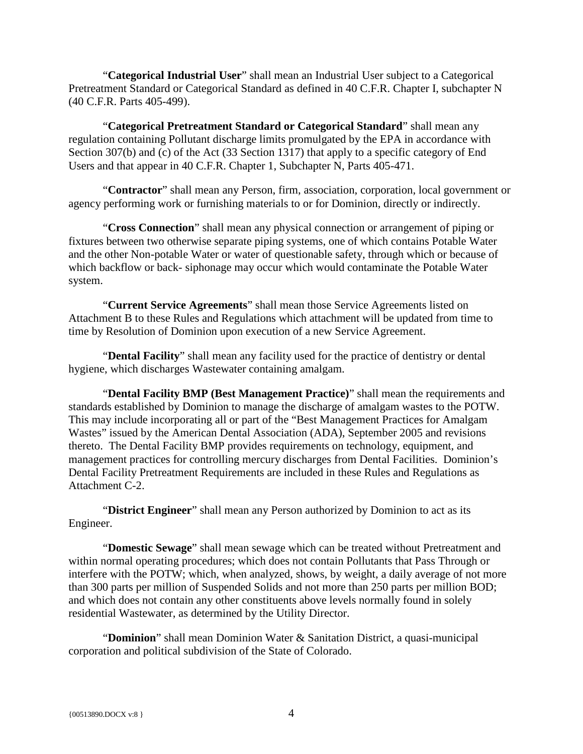"**Categorical Industrial User**" shall mean an Industrial User subject to a Categorical Pretreatment Standard or Categorical Standard as defined in 40 C.F.R. Chapter I, subchapter N (40 C.F.R. Parts 405-499).

"**Categorical Pretreatment Standard or Categorical Standard**" shall mean any regulation containing Pollutant discharge limits promulgated by the EPA in accordance with Section 307(b) and (c) of the Act (33 Section 1317) that apply to a specific category of End Users and that appear in 40 C.F.R. Chapter 1, Subchapter N, Parts 405-471.

"**Contractor**" shall mean any Person, firm, association, corporation, local government or agency performing work or furnishing materials to or for Dominion, directly or indirectly.

"**Cross Connection**" shall mean any physical connection or arrangement of piping or fixtures between two otherwise separate piping systems, one of which contains Potable Water and the other Non-potable Water or water of questionable safety, through which or because of which backflow or back- siphonage may occur which would contaminate the Potable Water system.

"**Current Service Agreements**" shall mean those Service Agreements listed on Attachment B to these Rules and Regulations which attachment will be updated from time to time by Resolution of Dominion upon execution of a new Service Agreement.

"**Dental Facility**" shall mean any facility used for the practice of dentistry or dental hygiene, which discharges Wastewater containing amalgam.

"**Dental Facility BMP (Best Management Practice)**" shall mean the requirements and standards established by Dominion to manage the discharge of amalgam wastes to the POTW. This may include incorporating all or part of the "Best Management Practices for Amalgam Wastes" issued by the American Dental Association (ADA), September 2005 and revisions thereto. The Dental Facility BMP provides requirements on technology, equipment, and management practices for controlling mercury discharges from Dental Facilities. Dominion's Dental Facility Pretreatment Requirements are included in these Rules and Regulations as Attachment C-2.

"**District Engineer**" shall mean any Person authorized by Dominion to act as its Engineer.

"**Domestic Sewage**" shall mean sewage which can be treated without Pretreatment and within normal operating procedures; which does not contain Pollutants that Pass Through or interfere with the POTW; which, when analyzed, shows, by weight, a daily average of not more than 300 parts per million of Suspended Solids and not more than 250 parts per million BOD; and which does not contain any other constituents above levels normally found in solely residential Wastewater, as determined by the Utility Director.

"**Dominion**" shall mean Dominion Water & Sanitation District, a quasi-municipal corporation and political subdivision of the State of Colorado.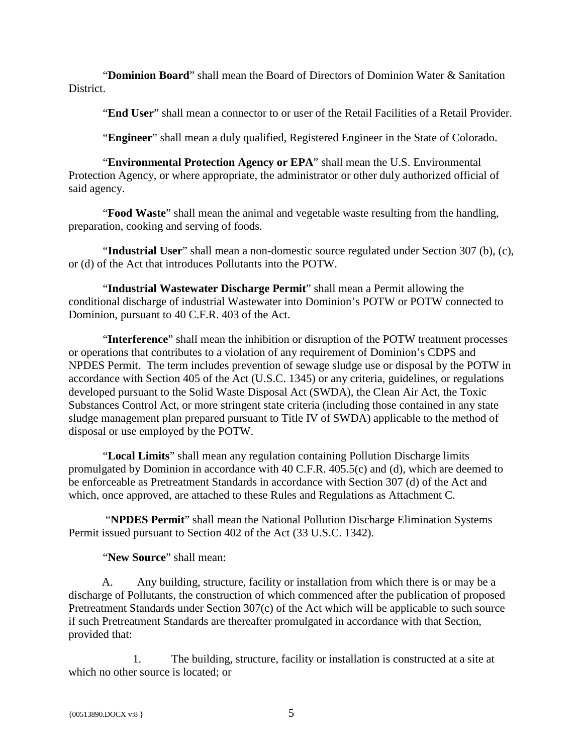"**Dominion Board**" shall mean the Board of Directors of Dominion Water & Sanitation District.

"**End User**" shall mean a connector to or user of the Retail Facilities of a Retail Provider.

"**Engineer**" shall mean a duly qualified, Registered Engineer in the State of Colorado.

"**Environmental Protection Agency or EPA**" shall mean the U.S. Environmental Protection Agency, or where appropriate, the administrator or other duly authorized official of said agency.

"**Food Waste**" shall mean the animal and vegetable waste resulting from the handling, preparation, cooking and serving of foods.

"**Industrial User**" shall mean a non-domestic source regulated under Section 307 (b), (c), or (d) of the Act that introduces Pollutants into the POTW.

"**Industrial Wastewater Discharge Permit**" shall mean a Permit allowing the conditional discharge of industrial Wastewater into Dominion's POTW or POTW connected to Dominion, pursuant to 40 C.F.R. 403 of the Act.

"**Interference**" shall mean the inhibition or disruption of the POTW treatment processes or operations that contributes to a violation of any requirement of Dominion's CDPS and NPDES Permit. The term includes prevention of sewage sludge use or disposal by the POTW in accordance with Section 405 of the Act (U.S.C. 1345) or any criteria, guidelines, or regulations developed pursuant to the Solid Waste Disposal Act (SWDA), the Clean Air Act, the Toxic Substances Control Act, or more stringent state criteria (including those contained in any state sludge management plan prepared pursuant to Title IV of SWDA) applicable to the method of disposal or use employed by the POTW.

"**Local Limits**" shall mean any regulation containing Pollution Discharge limits promulgated by Dominion in accordance with 40 C.F.R. 405.5(c) and (d), which are deemed to be enforceable as Pretreatment Standards in accordance with Section 307 (d) of the Act and which, once approved, are attached to these Rules and Regulations as Attachment C.

"**NPDES Permit**" shall mean the National Pollution Discharge Elimination Systems Permit issued pursuant to Section 402 of the Act (33 U.S.C. 1342).

"**New Source**" shall mean:

A. Any building, structure, facility or installation from which there is or may be a discharge of Pollutants, the construction of which commenced after the publication of proposed Pretreatment Standards under Section 307(c) of the Act which will be applicable to such source if such Pretreatment Standards are thereafter promulgated in accordance with that Section, provided that:

1. The building, structure, facility or installation is constructed at a site at which no other source is located; or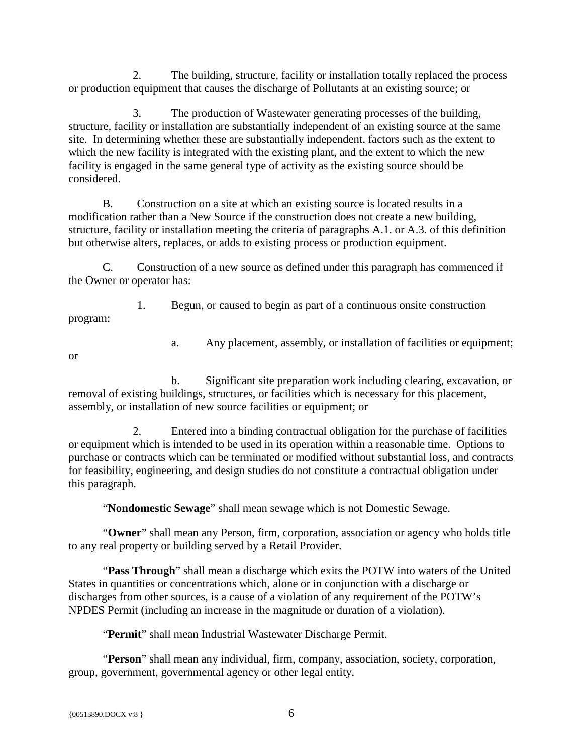2. The building, structure, facility or installation totally replaced the process or production equipment that causes the discharge of Pollutants at an existing source; or

3. The production of Wastewater generating processes of the building, structure, facility or installation are substantially independent of an existing source at the same site. In determining whether these are substantially independent, factors such as the extent to which the new facility is integrated with the existing plant, and the extent to which the new facility is engaged in the same general type of activity as the existing source should be considered.

B. Construction on a site at which an existing source is located results in a modification rather than a New Source if the construction does not create a new building, structure, facility or installation meeting the criteria of paragraphs A.1. or A.3. of this definition but otherwise alters, replaces, or adds to existing process or production equipment.

C. Construction of a new source as defined under this paragraph has commenced if the Owner or operator has:

1. Begun, or caused to begin as part of a continuous onsite construction program:

a. Any placement, assembly, or installation of facilities or equipment;

or

b. Significant site preparation work including clearing, excavation, or removal of existing buildings, structures, or facilities which is necessary for this placement, assembly, or installation of new source facilities or equipment; or

2. Entered into a binding contractual obligation for the purchase of facilities or equipment which is intended to be used in its operation within a reasonable time. Options to purchase or contracts which can be terminated or modified without substantial loss, and contracts for feasibility, engineering, and design studies do not constitute a contractual obligation under this paragraph.

"**Nondomestic Sewage**" shall mean sewage which is not Domestic Sewage.

"**Owner**" shall mean any Person, firm, corporation, association or agency who holds title to any real property or building served by a Retail Provider.

"**Pass Through**" shall mean a discharge which exits the POTW into waters of the United States in quantities or concentrations which, alone or in conjunction with a discharge or discharges from other sources, is a cause of a violation of any requirement of the POTW's NPDES Permit (including an increase in the magnitude or duration of a violation).

"**Permit**" shall mean Industrial Wastewater Discharge Permit.

"**Person**" shall mean any individual, firm, company, association, society, corporation, group, government, governmental agency or other legal entity.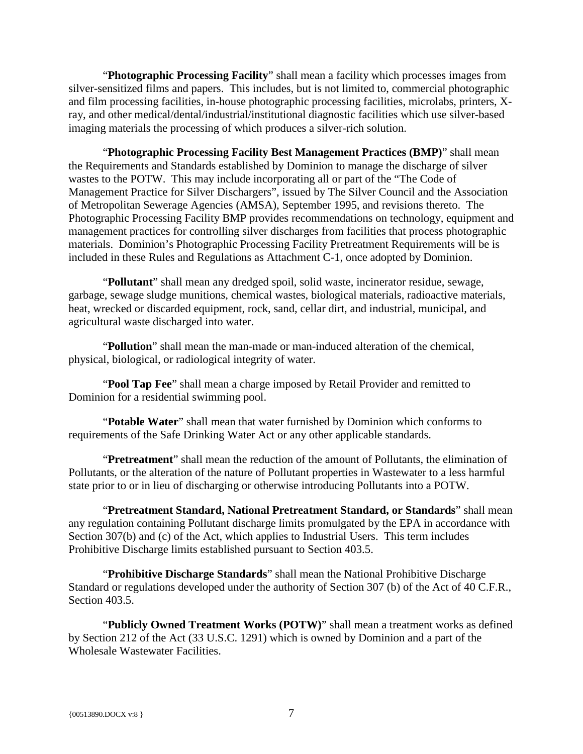"**Photographic Processing Facility**" shall mean a facility which processes images from silver-sensitized films and papers. This includes, but is not limited to, commercial photographic and film processing facilities, in-house photographic processing facilities, microlabs, printers, Xray, and other medical/dental/industrial/institutional diagnostic facilities which use silver-based imaging materials the processing of which produces a silver-rich solution.

"**Photographic Processing Facility Best Management Practices (BMP)**" shall mean the Requirements and Standards established by Dominion to manage the discharge of silver wastes to the POTW. This may include incorporating all or part of the "The Code of Management Practice for Silver Dischargers", issued by The Silver Council and the Association of Metropolitan Sewerage Agencies (AMSA), September 1995, and revisions thereto. The Photographic Processing Facility BMP provides recommendations on technology, equipment and management practices for controlling silver discharges from facilities that process photographic materials. Dominion's Photographic Processing Facility Pretreatment Requirements will be is included in these Rules and Regulations as Attachment C-1, once adopted by Dominion.

"**Pollutant**" shall mean any dredged spoil, solid waste, incinerator residue, sewage, garbage, sewage sludge munitions, chemical wastes, biological materials, radioactive materials, heat, wrecked or discarded equipment, rock, sand, cellar dirt, and industrial, municipal, and agricultural waste discharged into water.

"**Pollution**" shall mean the man-made or man-induced alteration of the chemical, physical, biological, or radiological integrity of water.

"**Pool Tap Fee**" shall mean a charge imposed by Retail Provider and remitted to Dominion for a residential swimming pool.

"**Potable Water**" shall mean that water furnished by Dominion which conforms to requirements of the Safe Drinking Water Act or any other applicable standards.

"**Pretreatment**" shall mean the reduction of the amount of Pollutants, the elimination of Pollutants, or the alteration of the nature of Pollutant properties in Wastewater to a less harmful state prior to or in lieu of discharging or otherwise introducing Pollutants into a POTW.

"**Pretreatment Standard, National Pretreatment Standard, or Standards**" shall mean any regulation containing Pollutant discharge limits promulgated by the EPA in accordance with Section 307(b) and (c) of the Act, which applies to Industrial Users. This term includes Prohibitive Discharge limits established pursuant to Section 403.5.

"**Prohibitive Discharge Standards**" shall mean the National Prohibitive Discharge Standard or regulations developed under the authority of Section 307 (b) of the Act of 40 C.F.R., Section 403.5.

"**Publicly Owned Treatment Works (POTW)**" shall mean a treatment works as defined by Section 212 of the Act (33 U.S.C. 1291) which is owned by Dominion and a part of the Wholesale Wastewater Facilities.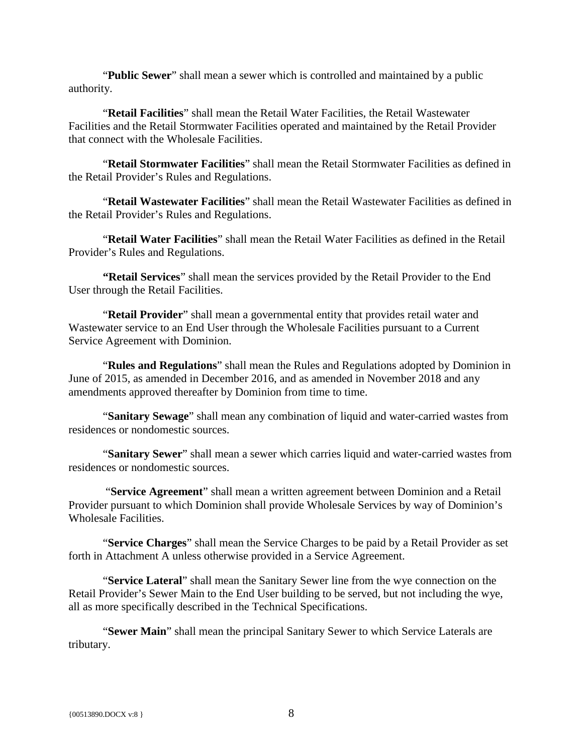"**Public Sewer**" shall mean a sewer which is controlled and maintained by a public authority.

"**Retail Facilities**" shall mean the Retail Water Facilities, the Retail Wastewater Facilities and the Retail Stormwater Facilities operated and maintained by the Retail Provider that connect with the Wholesale Facilities.

"**Retail Stormwater Facilities**" shall mean the Retail Stormwater Facilities as defined in the Retail Provider's Rules and Regulations.

"**Retail Wastewater Facilities**" shall mean the Retail Wastewater Facilities as defined in the Retail Provider's Rules and Regulations.

"**Retail Water Facilities**" shall mean the Retail Water Facilities as defined in the Retail Provider's Rules and Regulations.

**"Retail Services**" shall mean the services provided by the Retail Provider to the End User through the Retail Facilities.

"**Retail Provider**" shall mean a governmental entity that provides retail water and Wastewater service to an End User through the Wholesale Facilities pursuant to a Current Service Agreement with Dominion.

"**Rules and Regulations**" shall mean the Rules and Regulations adopted by Dominion in June of 2015, as amended in December 2016, and as amended in November 2018 and any amendments approved thereafter by Dominion from time to time.

"**Sanitary Sewage**" shall mean any combination of liquid and water-carried wastes from residences or nondomestic sources.

"**Sanitary Sewer**" shall mean a sewer which carries liquid and water-carried wastes from residences or nondomestic sources.

"**Service Agreement**" shall mean a written agreement between Dominion and a Retail Provider pursuant to which Dominion shall provide Wholesale Services by way of Dominion's Wholesale Facilities.

"**Service Charges**" shall mean the Service Charges to be paid by a Retail Provider as set forth in Attachment A unless otherwise provided in a Service Agreement.

"**Service Lateral**" shall mean the Sanitary Sewer line from the wye connection on the Retail Provider's Sewer Main to the End User building to be served, but not including the wye, all as more specifically described in the Technical Specifications.

"**Sewer Main**" shall mean the principal Sanitary Sewer to which Service Laterals are tributary.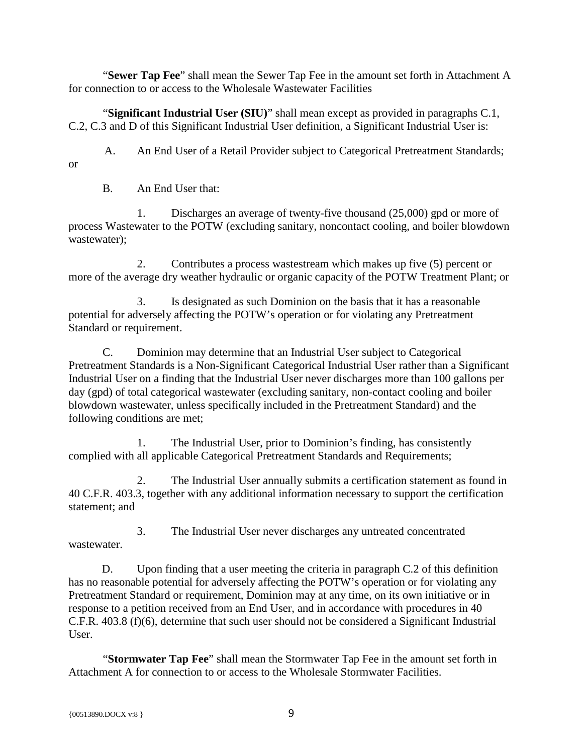"**Sewer Tap Fee**" shall mean the Sewer Tap Fee in the amount set forth in Attachment A for connection to or access to the Wholesale Wastewater Facilities

"**Significant Industrial User (SIU)**" shall mean except as provided in paragraphs C.1, C.2, C.3 and D of this Significant Industrial User definition, a Significant Industrial User is:

A. An End User of a Retail Provider subject to Categorical Pretreatment Standards;

B. An End User that:

or

1. Discharges an average of twenty-five thousand (25,000) gpd or more of process Wastewater to the POTW (excluding sanitary, noncontact cooling, and boiler blowdown wastewater);

2. Contributes a process wastestream which makes up five (5) percent or more of the average dry weather hydraulic or organic capacity of the POTW Treatment Plant; or

3. Is designated as such Dominion on the basis that it has a reasonable potential for adversely affecting the POTW's operation or for violating any Pretreatment Standard or requirement.

C. Dominion may determine that an Industrial User subject to Categorical Pretreatment Standards is a Non-Significant Categorical Industrial User rather than a Significant Industrial User on a finding that the Industrial User never discharges more than 100 gallons per day (gpd) of total categorical wastewater (excluding sanitary, non-contact cooling and boiler blowdown wastewater, unless specifically included in the Pretreatment Standard) and the following conditions are met;

1. The Industrial User, prior to Dominion's finding, has consistently complied with all applicable Categorical Pretreatment Standards and Requirements;

The Industrial User annually submits a certification statement as found in 40 C.F.R. 403.3, together with any additional information necessary to support the certification statement; and

3. The Industrial User never discharges any untreated concentrated wastewater.

D. Upon finding that a user meeting the criteria in paragraph C.2 of this definition has no reasonable potential for adversely affecting the POTW's operation or for violating any Pretreatment Standard or requirement, Dominion may at any time, on its own initiative or in response to a petition received from an End User, and in accordance with procedures in 40 C.F.R. 403.8 (f)(6), determine that such user should not be considered a Significant Industrial User.

"**Stormwater Tap Fee**" shall mean the Stormwater Tap Fee in the amount set forth in Attachment A for connection to or access to the Wholesale Stormwater Facilities.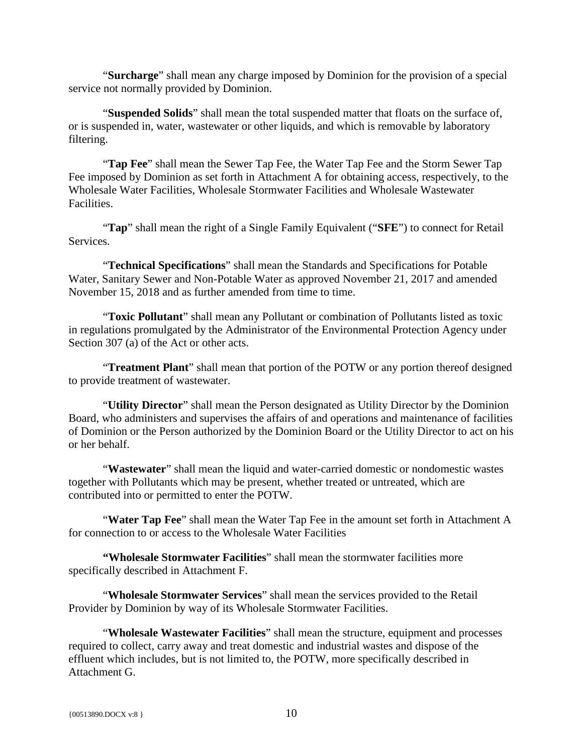"**Surcharge**" shall mean any charge imposed by Dominion for the provision of a special service not normally provided by Dominion.

"**Suspended Solids**" shall mean the total suspended matter that floats on the surface of, or is suspended in, water, wastewater or other liquids, and which is removable by laboratory filtering.

"**Tap Fee**" shall mean the Sewer Tap Fee, the Water Tap Fee and the Storm Sewer Tap Fee imposed by Dominion as set forth in Attachment A for obtaining access, respectively, to the Wholesale Water Facilities, Wholesale Stormwater Facilities and Wholesale Wastewater Facilities.

"**Tap**" shall mean the right of a Single Family Equivalent ("**SFE**") to connect for Retail Services.

"**Technical Specifications**" shall mean the Standards and Specifications for Potable Water, Sanitary Sewer and Non-Potable Water as approved November 21, 2017 and amended November 15, 2018 and as further amended from time to time.

"**Toxic Pollutant**" shall mean any Pollutant or combination of Pollutants listed as toxic in regulations promulgated by the Administrator of the Environmental Protection Agency under Section 307 (a) of the Act or other acts.

"**Treatment Plant**" shall mean that portion of the POTW or any portion thereof designed to provide treatment of wastewater.

"**Utility Director**" shall mean the Person designated as Utility Director by the Dominion Board, who administers and supervises the affairs of and operations and maintenance of facilities of Dominion or the Person authorized by the Dominion Board or the Utility Director to act on his or her behalf.

"**Wastewater**" shall mean the liquid and water-carried domestic or nondomestic wastes together with Pollutants which may be present, whether treated or untreated, which are contributed into or permitted to enter the POTW.

"**Water Tap Fee**" shall mean the Water Tap Fee in the amount set forth in Attachment A for connection to or access to the Wholesale Water Facilities

**"Wholesale Stormwater Facilities**" shall mean the stormwater facilities more specifically described in Attachment F.

"**Wholesale Stormwater Services**" shall mean the services provided to the Retail Provider by Dominion by way of its Wholesale Stormwater Facilities.

"**Wholesale Wastewater Facilities**" shall mean the structure, equipment and processes required to collect, carry away and treat domestic and industrial wastes and dispose of the effluent which includes, but is not limited to, the POTW, more specifically described in Attachment G.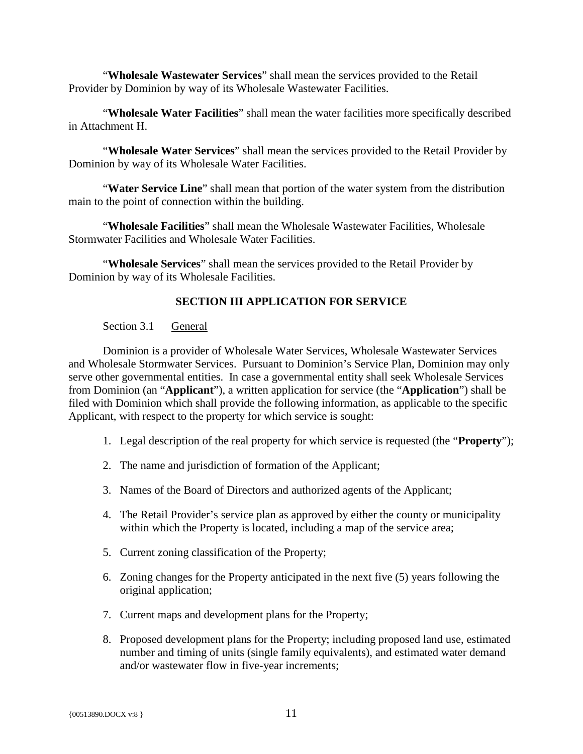"**Wholesale Wastewater Services**" shall mean the services provided to the Retail Provider by Dominion by way of its Wholesale Wastewater Facilities.

"**Wholesale Water Facilities**" shall mean the water facilities more specifically described in Attachment H.

"**Wholesale Water Services**" shall mean the services provided to the Retail Provider by Dominion by way of its Wholesale Water Facilities.

"**Water Service Line**" shall mean that portion of the water system from the distribution main to the point of connection within the building.

"**Wholesale Facilities**" shall mean the Wholesale Wastewater Facilities, Wholesale Stormwater Facilities and Wholesale Water Facilities.

<span id="page-14-0"></span>"**Wholesale Services**" shall mean the services provided to the Retail Provider by Dominion by way of its Wholesale Facilities.

# **SECTION III APPLICATION FOR SERVICE**

# Section 3.1 General

<span id="page-14-1"></span>Dominion is a provider of Wholesale Water Services, Wholesale Wastewater Services and Wholesale Stormwater Services. Pursuant to Dominion's Service Plan, Dominion may only serve other governmental entities. In case a governmental entity shall seek Wholesale Services from Dominion (an "**Applicant**"), a written application for service (the "**Application**") shall be filed with Dominion which shall provide the following information, as applicable to the specific Applicant, with respect to the property for which service is sought:

- 1. Legal description of the real property for which service is requested (the "**Property**");
- 2. The name and jurisdiction of formation of the Applicant;
- 3. Names of the Board of Directors and authorized agents of the Applicant;
- 4. The Retail Provider's service plan as approved by either the county or municipality within which the Property is located, including a map of the service area;
- 5. Current zoning classification of the Property;
- 6. Zoning changes for the Property anticipated in the next five (5) years following the original application;
- 7. Current maps and development plans for the Property;
- 8. Proposed development plans for the Property; including proposed land use, estimated number and timing of units (single family equivalents), and estimated water demand and/or wastewater flow in five-year increments;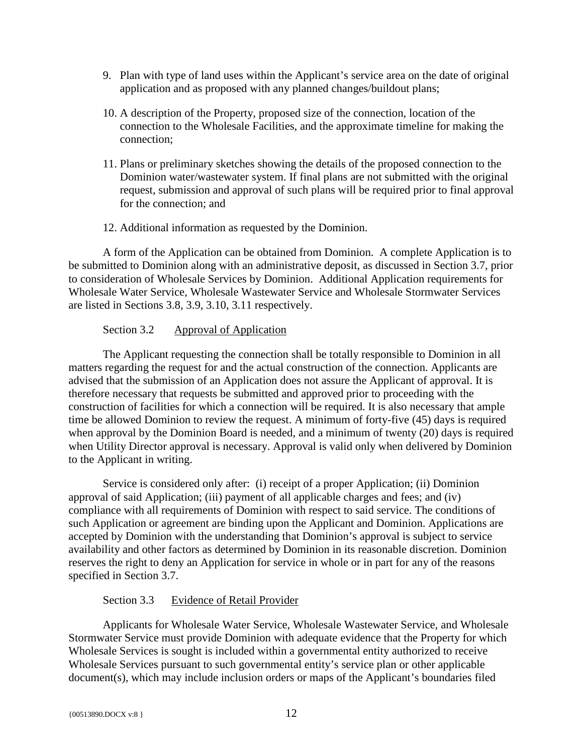- 9. Plan with type of land uses within the Applicant's service area on the date of original application and as proposed with any planned changes/buildout plans;
- 10. A description of the Property, proposed size of the connection, location of the connection to the Wholesale Facilities, and the approximate timeline for making the connection;
- 11. Plans or preliminary sketches showing the details of the proposed connection to the Dominion water/wastewater system. If final plans are not submitted with the original request, submission and approval of such plans will be required prior to final approval for the connection; and
- 12. Additional information as requested by the Dominion.

A form of the Application can be obtained from Dominion. A complete Application is to be submitted to Dominion along with an administrative deposit, as discussed in Section 3.7, prior to consideration of Wholesale Services by Dominion. Additional Application requirements for Wholesale Water Service, Wholesale Wastewater Service and Wholesale Stormwater Services are listed in Sections 3.8, 3.9, 3.10, 3.11 respectively.

# <span id="page-15-0"></span>Section 3.2 Approval of Application

The Applicant requesting the connection shall be totally responsible to Dominion in all matters regarding the request for and the actual construction of the connection. Applicants are advised that the submission of an Application does not assure the Applicant of approval. It is therefore necessary that requests be submitted and approved prior to proceeding with the construction of facilities for which a connection will be required. It is also necessary that ample time be allowed Dominion to review the request. A minimum of forty-five (45) days is required when approval by the Dominion Board is needed, and a minimum of twenty (20) days is required when Utility Director approval is necessary. Approval is valid only when delivered by Dominion to the Applicant in writing.

Service is considered only after: (i) receipt of a proper Application; (ii) Dominion approval of said Application; (iii) payment of all applicable charges and fees; and (iv) compliance with all requirements of Dominion with respect to said service. The conditions of such Application or agreement are binding upon the Applicant and Dominion. Applications are accepted by Dominion with the understanding that Dominion's approval is subject to service availability and other factors as determined by Dominion in its reasonable discretion. Dominion reserves the right to deny an Application for service in whole or in part for any of the reasons specified in Section 3.7.

# Section 3.3 Evidence of Retail Provider

<span id="page-15-1"></span>Applicants for Wholesale Water Service, Wholesale Wastewater Service, and Wholesale Stormwater Service must provide Dominion with adequate evidence that the Property for which Wholesale Services is sought is included within a governmental entity authorized to receive Wholesale Services pursuant to such governmental entity's service plan or other applicable document(s), which may include inclusion orders or maps of the Applicant's boundaries filed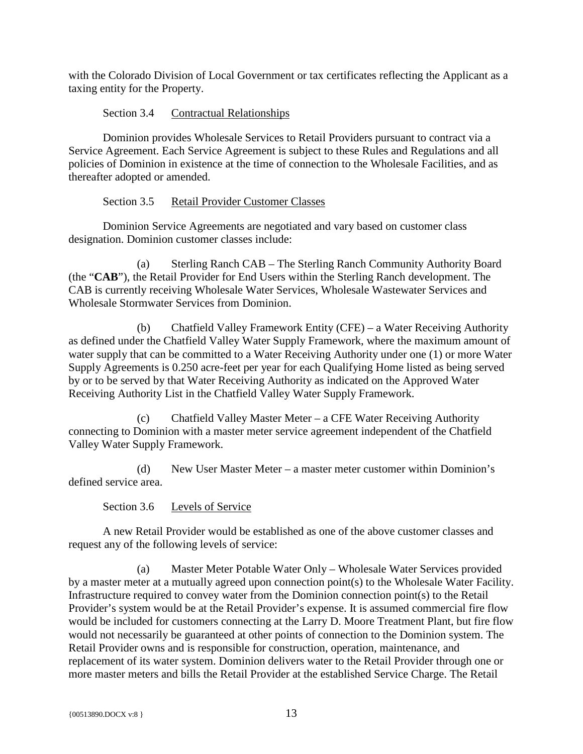with the Colorado Division of Local Government or tax certificates reflecting the Applicant as a taxing entity for the Property.

# Section 3.4 Contractual Relationships

<span id="page-16-0"></span>Dominion provides Wholesale Services to Retail Providers pursuant to contract via a Service Agreement. Each Service Agreement is subject to these Rules and Regulations and all policies of Dominion in existence at the time of connection to the Wholesale Facilities, and as thereafter adopted or amended.

# Section 3.5 Retail Provider Customer Classes

<span id="page-16-1"></span>Dominion Service Agreements are negotiated and vary based on customer class designation. Dominion customer classes include:

(a) Sterling Ranch CAB – The Sterling Ranch Community Authority Board (the "**CAB**"), the Retail Provider for End Users within the Sterling Ranch development. The CAB is currently receiving Wholesale Water Services, Wholesale Wastewater Services and Wholesale Stormwater Services from Dominion.

(b) Chatfield Valley Framework Entity (CFE) – a Water Receiving Authority as defined under the Chatfield Valley Water Supply Framework, where the maximum amount of water supply that can be committed to a Water Receiving Authority under one (1) or more Water Supply Agreements is 0.250 acre-feet per year for each Qualifying Home listed as being served by or to be served by that Water Receiving Authority as indicated on the Approved Water Receiving Authority List in the Chatfield Valley Water Supply Framework.

(c) Chatfield Valley Master Meter – a CFE Water Receiving Authority connecting to Dominion with a master meter service agreement independent of the Chatfield Valley Water Supply Framework.

(d) New User Master Meter – a master meter customer within Dominion's defined service area.

Section 3.6 Levels of Service

<span id="page-16-2"></span>A new Retail Provider would be established as one of the above customer classes and request any of the following levels of service:

(a) Master Meter Potable Water Only – Wholesale Water Services provided by a master meter at a mutually agreed upon connection point(s) to the Wholesale Water Facility. Infrastructure required to convey water from the Dominion connection point(s) to the Retail Provider's system would be at the Retail Provider's expense. It is assumed commercial fire flow would be included for customers connecting at the Larry D. Moore Treatment Plant, but fire flow would not necessarily be guaranteed at other points of connection to the Dominion system. The Retail Provider owns and is responsible for construction, operation, maintenance, and replacement of its water system. Dominion delivers water to the Retail Provider through one or more master meters and bills the Retail Provider at the established Service Charge. The Retail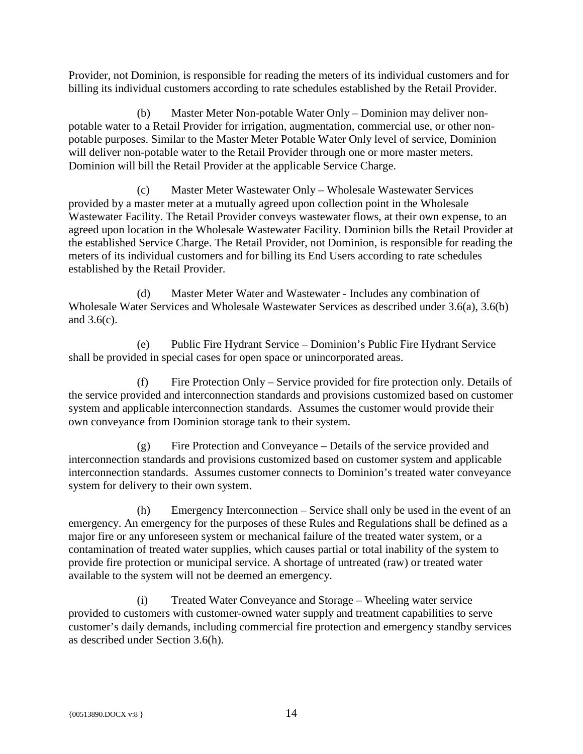Provider, not Dominion, is responsible for reading the meters of its individual customers and for billing its individual customers according to rate schedules established by the Retail Provider.

(b) Master Meter Non-potable Water Only – Dominion may deliver nonpotable water to a Retail Provider for irrigation, augmentation, commercial use, or other nonpotable purposes. Similar to the Master Meter Potable Water Only level of service, Dominion will deliver non-potable water to the Retail Provider through one or more master meters. Dominion will bill the Retail Provider at the applicable Service Charge.

(c) Master Meter Wastewater Only – Wholesale Wastewater Services provided by a master meter at a mutually agreed upon collection point in the Wholesale Wastewater Facility. The Retail Provider conveys wastewater flows, at their own expense, to an agreed upon location in the Wholesale Wastewater Facility. Dominion bills the Retail Provider at the established Service Charge. The Retail Provider, not Dominion, is responsible for reading the meters of its individual customers and for billing its End Users according to rate schedules established by the Retail Provider.

(d) Master Meter Water and Wastewater - Includes any combination of Wholesale Water Services and Wholesale Wastewater Services as described under 3.6(a), 3.6(b) and 3.6(c).

(e) Public Fire Hydrant Service – Dominion's Public Fire Hydrant Service shall be provided in special cases for open space or unincorporated areas.

(f) Fire Protection Only – Service provided for fire protection only. Details of the service provided and interconnection standards and provisions customized based on customer system and applicable interconnection standards. Assumes the customer would provide their own conveyance from Dominion storage tank to their system.

(g) Fire Protection and Conveyance – Details of the service provided and interconnection standards and provisions customized based on customer system and applicable interconnection standards. Assumes customer connects to Dominion's treated water conveyance system for delivery to their own system.

(h) Emergency Interconnection – Service shall only be used in the event of an emergency. An emergency for the purposes of these Rules and Regulations shall be defined as a major fire or any unforeseen system or mechanical failure of the treated water system, or a contamination of treated water supplies, which causes partial or total inability of the system to provide fire protection or municipal service. A shortage of untreated (raw) or treated water available to the system will not be deemed an emergency.

(i) Treated Water Conveyance and Storage – Wheeling water service provided to customers with customer-owned water supply and treatment capabilities to serve customer's daily demands, including commercial fire protection and emergency standby services as described under Section 3.6(h).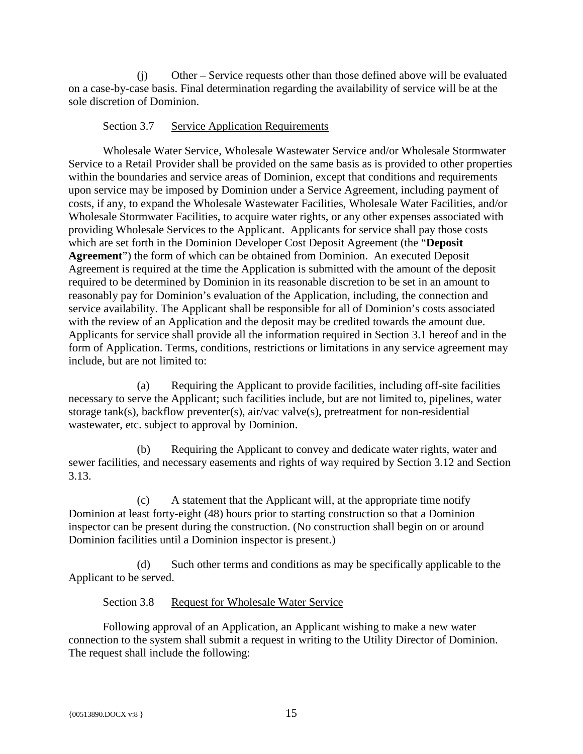(j) Other – Service requests other than those defined above will be evaluated on a case-by-case basis. Final determination regarding the availability of service will be at the sole discretion of Dominion.

#### Section 3.7 Service Application Requirements

<span id="page-18-0"></span>Wholesale Water Service, Wholesale Wastewater Service and/or Wholesale Stormwater Service to a Retail Provider shall be provided on the same basis as is provided to other properties within the boundaries and service areas of Dominion, except that conditions and requirements upon service may be imposed by Dominion under a Service Agreement, including payment of costs, if any, to expand the Wholesale Wastewater Facilities, Wholesale Water Facilities, and/or Wholesale Stormwater Facilities, to acquire water rights, or any other expenses associated with providing Wholesale Services to the Applicant. Applicants for service shall pay those costs which are set forth in the Dominion Developer Cost Deposit Agreement (the "**Deposit Agreement**") the form of which can be obtained from Dominion. An executed Deposit Agreement is required at the time the Application is submitted with the amount of the deposit required to be determined by Dominion in its reasonable discretion to be set in an amount to reasonably pay for Dominion's evaluation of the Application, including, the connection and service availability. The Applicant shall be responsible for all of Dominion's costs associated with the review of an Application and the deposit may be credited towards the amount due. Applicants for service shall provide all the information required in Section 3.1 hereof and in the form of Application. Terms, conditions, restrictions or limitations in any service agreement may include, but are not limited to:

(a) Requiring the Applicant to provide facilities, including off-site facilities necessary to serve the Applicant; such facilities include, but are not limited to, pipelines, water storage tank(s), backflow preventer(s), air/vac valve(s), pretreatment for non-residential wastewater, etc. subject to approval by Dominion.

(b) Requiring the Applicant to convey and dedicate water rights, water and sewer facilities, and necessary easements and rights of way required by Section 3.12 and Section 3.13.

(c) A statement that the Applicant will, at the appropriate time notify Dominion at least forty-eight (48) hours prior to starting construction so that a Dominion inspector can be present during the construction. (No construction shall begin on or around Dominion facilities until a Dominion inspector is present.)

(d) Such other terms and conditions as may be specifically applicable to the Applicant to be served.

Section 3.8 Request for Wholesale Water Service

<span id="page-18-1"></span>Following approval of an Application, an Applicant wishing to make a new water connection to the system shall submit a request in writing to the Utility Director of Dominion. The request shall include the following: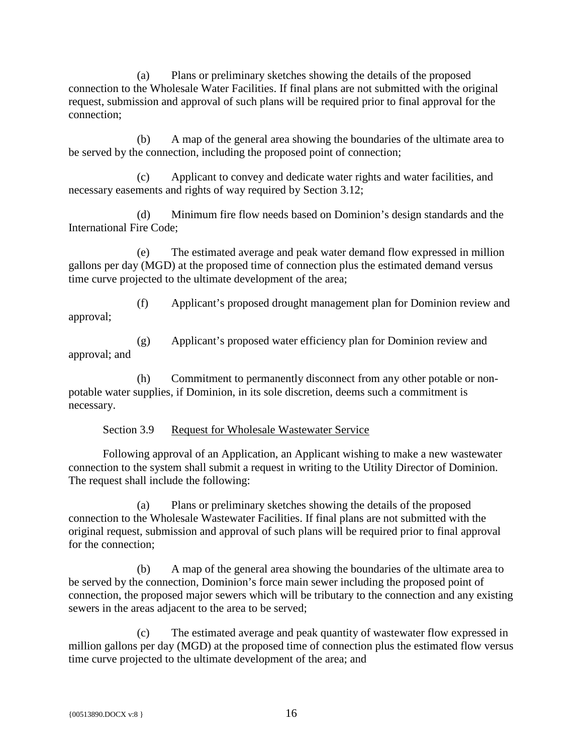(a) Plans or preliminary sketches showing the details of the proposed connection to the Wholesale Water Facilities. If final plans are not submitted with the original request, submission and approval of such plans will be required prior to final approval for the connection;

(b) A map of the general area showing the boundaries of the ultimate area to be served by the connection, including the proposed point of connection;

(c) Applicant to convey and dedicate water rights and water facilities, and necessary easements and rights of way required by Section 3.12;

(d) Minimum fire flow needs based on Dominion's design standards and the International Fire Code;

(e) The estimated average and peak water demand flow expressed in million gallons per day (MGD) at the proposed time of connection plus the estimated demand versus time curve projected to the ultimate development of the area;

(f) Applicant's proposed drought management plan for Dominion review and approval;

(g) Applicant's proposed water efficiency plan for Dominion review and approval; and

(h) Commitment to permanently disconnect from any other potable or nonpotable water supplies, if Dominion, in its sole discretion, deems such a commitment is necessary.

Section 3.9 Request for Wholesale Wastewater Service

<span id="page-19-0"></span>Following approval of an Application, an Applicant wishing to make a new wastewater connection to the system shall submit a request in writing to the Utility Director of Dominion. The request shall include the following:

(a) Plans or preliminary sketches showing the details of the proposed connection to the Wholesale Wastewater Facilities. If final plans are not submitted with the original request, submission and approval of such plans will be required prior to final approval for the connection;

(b) A map of the general area showing the boundaries of the ultimate area to be served by the connection, Dominion's force main sewer including the proposed point of connection, the proposed major sewers which will be tributary to the connection and any existing sewers in the areas adjacent to the area to be served;

(c) The estimated average and peak quantity of wastewater flow expressed in million gallons per day (MGD) at the proposed time of connection plus the estimated flow versus time curve projected to the ultimate development of the area; and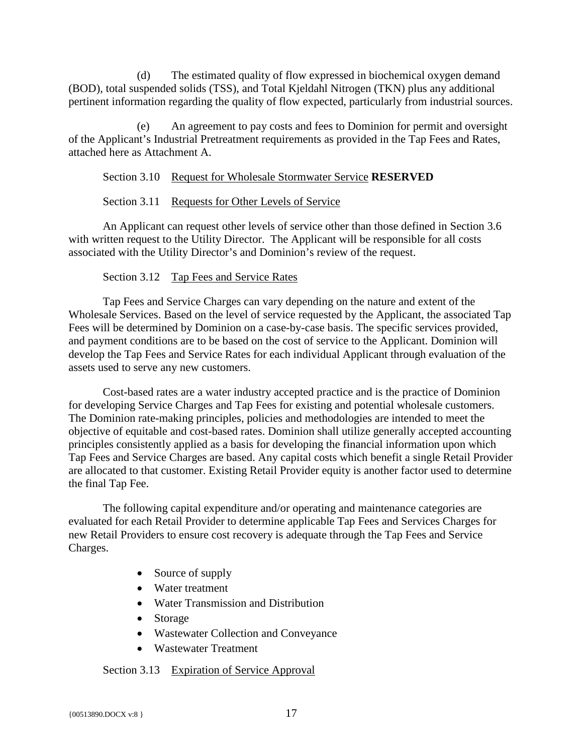(d) The estimated quality of flow expressed in biochemical oxygen demand (BOD), total suspended solids (TSS), and Total Kjeldahl Nitrogen (TKN) plus any additional pertinent information regarding the quality of flow expected, particularly from industrial sources.

(e) An agreement to pay costs and fees to Dominion for permit and oversight of the Applicant's Industrial Pretreatment requirements as provided in the Tap Fees and Rates, attached here as Attachment A.

#### <span id="page-20-0"></span>Section 3.10 Request for Wholesale Stormwater Service **RESERVED**

#### Section 3.11 Requests for Other Levels of Service

<span id="page-20-1"></span>An Applicant can request other levels of service other than those defined in Section 3.6 with written request to the Utility Director. The Applicant will be responsible for all costs associated with the Utility Director's and Dominion's review of the request.

#### Section 3.12 Tap Fees and Service Rates

<span id="page-20-2"></span>Tap Fees and Service Charges can vary depending on the nature and extent of the Wholesale Services. Based on the level of service requested by the Applicant, the associated Tap Fees will be determined by Dominion on a case-by-case basis. The specific services provided, and payment conditions are to be based on the cost of service to the Applicant. Dominion will develop the Tap Fees and Service Rates for each individual Applicant through evaluation of the assets used to serve any new customers.

Cost-based rates are a water industry accepted practice and is the practice of Dominion for developing Service Charges and Tap Fees for existing and potential wholesale customers. The Dominion rate-making principles, policies and methodologies are intended to meet the objective of equitable and cost-based rates. Dominion shall utilize generally accepted accounting principles consistently applied as a basis for developing the financial information upon which Tap Fees and Service Charges are based. Any capital costs which benefit a single Retail Provider are allocated to that customer. Existing Retail Provider equity is another factor used to determine the final Tap Fee.

The following capital expenditure and/or operating and maintenance categories are evaluated for each Retail Provider to determine applicable Tap Fees and Services Charges for new Retail Providers to ensure cost recovery is adequate through the Tap Fees and Service Charges.

- Source of supply
- Water treatment
- Water Transmission and Distribution
- Storage
- Wastewater Collection and Conveyance
- Wastewater Treatment

# <span id="page-20-3"></span>Section 3.13 Expiration of Service Approval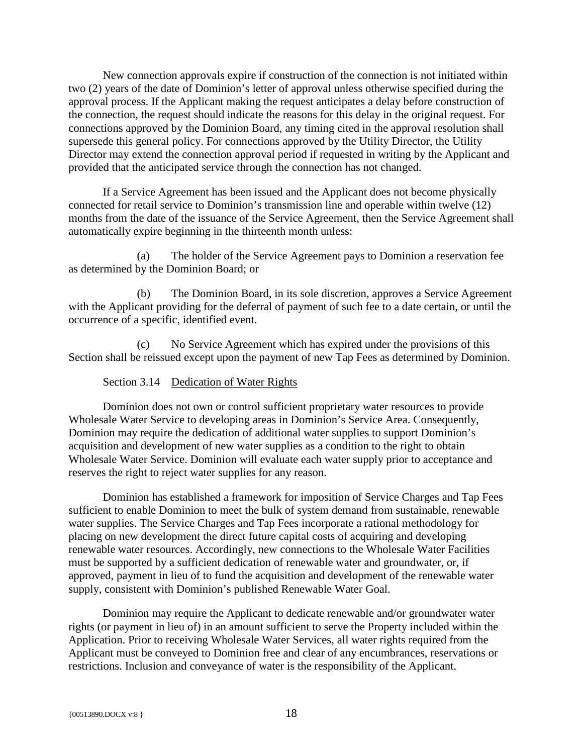New connection approvals expire if construction of the connection is not initiated within two (2) years of the date of Dominion's letter of approval unless otherwise specified during the approval process. If the Applicant making the request anticipates a delay before construction of the connection, the request should indicate the reasons for this delay in the original request. For connections approved by the Dominion Board, any timing cited in the approval resolution shall supersede this general policy. For connections approved by the Utility Director, the Utility Director may extend the connection approval period if requested in writing by the Applicant and provided that the anticipated service through the connection has not changed.

If a Service Agreement has been issued and the Applicant does not become physically connected for retail service to Dominion's transmission line and operable within twelve (12) months from the date of the issuance of the Service Agreement, then the Service Agreement shall automatically expire beginning in the thirteenth month unless:

(a) The holder of the Service Agreement pays to Dominion a reservation fee as determined by the Dominion Board; or

(b) The Dominion Board, in its sole discretion, approves a Service Agreement with the Applicant providing for the deferral of payment of such fee to a date certain, or until the occurrence of a specific, identified event.

(c) No Service Agreement which has expired under the provisions of this Section shall be reissued except upon the payment of new Tap Fees as determined by Dominion.

# Section 3.14 Dedication of Water Rights

<span id="page-21-0"></span>Dominion does not own or control sufficient proprietary water resources to provide Wholesale Water Service to developing areas in Dominion's Service Area. Consequently, Dominion may require the dedication of additional water supplies to support Dominion's acquisition and development of new water supplies as a condition to the right to obtain Wholesale Water Service. Dominion will evaluate each water supply prior to acceptance and reserves the right to reject water supplies for any reason.

Dominion has established a framework for imposition of Service Charges and Tap Fees sufficient to enable Dominion to meet the bulk of system demand from sustainable, renewable water supplies. The Service Charges and Tap Fees incorporate a rational methodology for placing on new development the direct future capital costs of acquiring and developing renewable water resources. Accordingly, new connections to the Wholesale Water Facilities must be supported by a sufficient dedication of renewable water and groundwater, or, if approved, payment in lieu of to fund the acquisition and development of the renewable water supply, consistent with Dominion's published Renewable Water Goal.

Dominion may require the Applicant to dedicate renewable and/or groundwater water rights (or payment in lieu of) in an amount sufficient to serve the Property included within the Application. Prior to receiving Wholesale Water Services, all water rights required from the Applicant must be conveyed to Dominion free and clear of any encumbrances, reservations or restrictions. Inclusion and conveyance of water is the responsibility of the Applicant.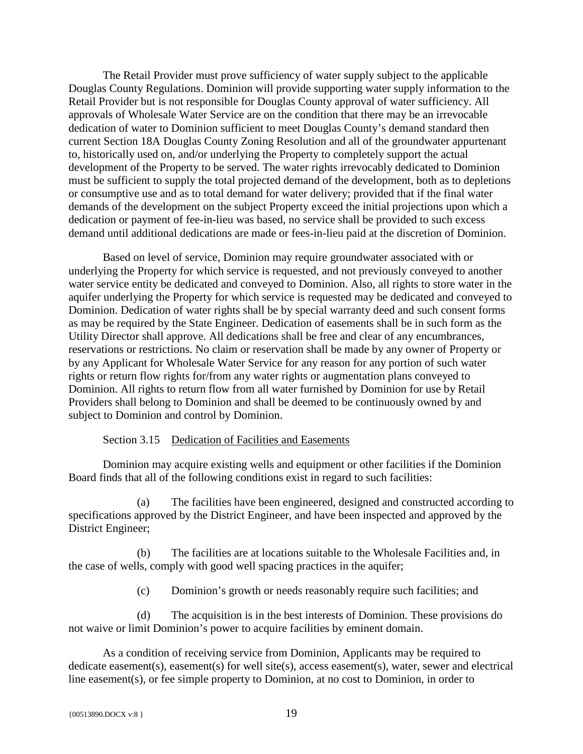The Retail Provider must prove sufficiency of water supply subject to the applicable Douglas County Regulations. Dominion will provide supporting water supply information to the Retail Provider but is not responsible for Douglas County approval of water sufficiency. All approvals of Wholesale Water Service are on the condition that there may be an irrevocable dedication of water to Dominion sufficient to meet Douglas County's demand standard then current Section 18A Douglas County Zoning Resolution and all of the groundwater appurtenant to, historically used on, and/or underlying the Property to completely support the actual development of the Property to be served. The water rights irrevocably dedicated to Dominion must be sufficient to supply the total projected demand of the development, both as to depletions or consumptive use and as to total demand for water delivery; provided that if the final water demands of the development on the subject Property exceed the initial projections upon which a dedication or payment of fee-in-lieu was based, no service shall be provided to such excess demand until additional dedications are made or fees-in-lieu paid at the discretion of Dominion.

Based on level of service, Dominion may require groundwater associated with or underlying the Property for which service is requested, and not previously conveyed to another water service entity be dedicated and conveyed to Dominion. Also, all rights to store water in the aquifer underlying the Property for which service is requested may be dedicated and conveyed to Dominion. Dedication of water rights shall be by special warranty deed and such consent forms as may be required by the State Engineer. Dedication of easements shall be in such form as the Utility Director shall approve. All dedications shall be free and clear of any encumbrances, reservations or restrictions. No claim or reservation shall be made by any owner of Property or by any Applicant for Wholesale Water Service for any reason for any portion of such water rights or return flow rights for/from any water rights or augmentation plans conveyed to Dominion. All rights to return flow from all water furnished by Dominion for use by Retail Providers shall belong to Dominion and shall be deemed to be continuously owned by and subject to Dominion and control by Dominion.

# Section 3.15 Dedication of Facilities and Easements

<span id="page-22-0"></span>Dominion may acquire existing wells and equipment or other facilities if the Dominion Board finds that all of the following conditions exist in regard to such facilities:

(a) The facilities have been engineered, designed and constructed according to specifications approved by the District Engineer, and have been inspected and approved by the District Engineer;

(b) The facilities are at locations suitable to the Wholesale Facilities and, in the case of wells, comply with good well spacing practices in the aquifer;

(c) Dominion's growth or needs reasonably require such facilities; and

(d) The acquisition is in the best interests of Dominion. These provisions do not waive or limit Dominion's power to acquire facilities by eminent domain.

As a condition of receiving service from Dominion, Applicants may be required to dedicate easement(s), easement(s) for well site(s), access easement(s), water, sewer and electrical line easement(s), or fee simple property to Dominion, at no cost to Dominion, in order to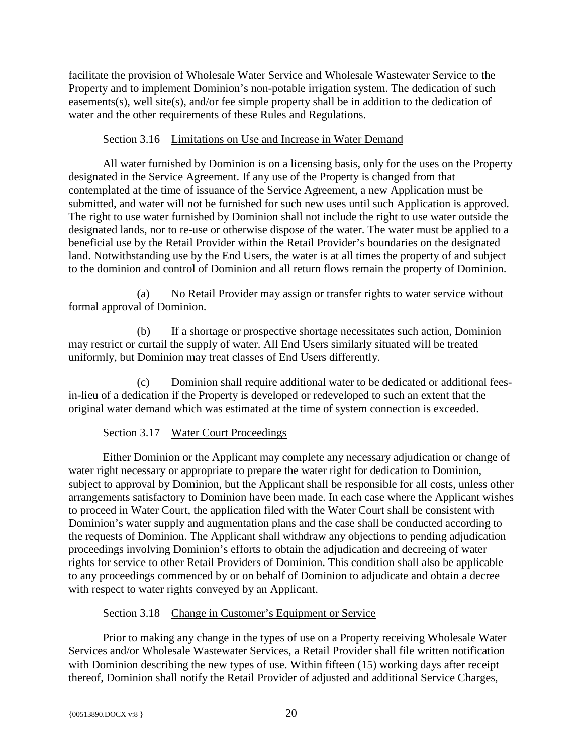facilitate the provision of Wholesale Water Service and Wholesale Wastewater Service to the Property and to implement Dominion's non-potable irrigation system. The dedication of such easements(s), well site(s), and/or fee simple property shall be in addition to the dedication of water and the other requirements of these Rules and Regulations.

# Section 3.16 Limitations on Use and Increase in Water Demand

<span id="page-23-0"></span>All water furnished by Dominion is on a licensing basis, only for the uses on the Property designated in the Service Agreement. If any use of the Property is changed from that contemplated at the time of issuance of the Service Agreement, a new Application must be submitted, and water will not be furnished for such new uses until such Application is approved. The right to use water furnished by Dominion shall not include the right to use water outside the designated lands, nor to re-use or otherwise dispose of the water. The water must be applied to a beneficial use by the Retail Provider within the Retail Provider's boundaries on the designated land. Notwithstanding use by the End Users, the water is at all times the property of and subject to the dominion and control of Dominion and all return flows remain the property of Dominion.

(a) No Retail Provider may assign or transfer rights to water service without formal approval of Dominion.

(b) If a shortage or prospective shortage necessitates such action, Dominion may restrict or curtail the supply of water. All End Users similarly situated will be treated uniformly, but Dominion may treat classes of End Users differently.

(c) Dominion shall require additional water to be dedicated or additional feesin-lieu of a dedication if the Property is developed or redeveloped to such an extent that the original water demand which was estimated at the time of system connection is exceeded.

# Section 3.17 Water Court Proceedings

<span id="page-23-1"></span>Either Dominion or the Applicant may complete any necessary adjudication or change of water right necessary or appropriate to prepare the water right for dedication to Dominion, subject to approval by Dominion, but the Applicant shall be responsible for all costs, unless other arrangements satisfactory to Dominion have been made. In each case where the Applicant wishes to proceed in Water Court, the application filed with the Water Court shall be consistent with Dominion's water supply and augmentation plans and the case shall be conducted according to the requests of Dominion. The Applicant shall withdraw any objections to pending adjudication proceedings involving Dominion's efforts to obtain the adjudication and decreeing of water rights for service to other Retail Providers of Dominion. This condition shall also be applicable to any proceedings commenced by or on behalf of Dominion to adjudicate and obtain a decree with respect to water rights conveyed by an Applicant.

# Section 3.18 Change in Customer's Equipment or Service

<span id="page-23-2"></span>Prior to making any change in the types of use on a Property receiving Wholesale Water Services and/or Wholesale Wastewater Services, a Retail Provider shall file written notification with Dominion describing the new types of use. Within fifteen (15) working days after receipt thereof, Dominion shall notify the Retail Provider of adjusted and additional Service Charges,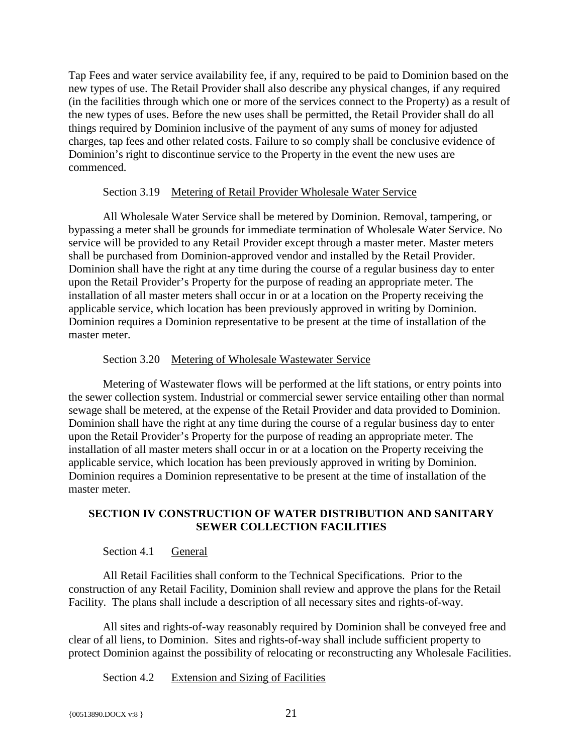Tap Fees and water service availability fee, if any, required to be paid to Dominion based on the new types of use. The Retail Provider shall also describe any physical changes, if any required (in the facilities through which one or more of the services connect to the Property) as a result of the new types of uses. Before the new uses shall be permitted, the Retail Provider shall do all things required by Dominion inclusive of the payment of any sums of money for adjusted charges, tap fees and other related costs. Failure to so comply shall be conclusive evidence of Dominion's right to discontinue service to the Property in the event the new uses are commenced.

#### Section 3.19 Metering of Retail Provider Wholesale Water Service

<span id="page-24-0"></span>All Wholesale Water Service shall be metered by Dominion. Removal, tampering, or bypassing a meter shall be grounds for immediate termination of Wholesale Water Service. No service will be provided to any Retail Provider except through a master meter. Master meters shall be purchased from Dominion-approved vendor and installed by the Retail Provider. Dominion shall have the right at any time during the course of a regular business day to enter upon the Retail Provider's Property for the purpose of reading an appropriate meter. The installation of all master meters shall occur in or at a location on the Property receiving the applicable service, which location has been previously approved in writing by Dominion. Dominion requires a Dominion representative to be present at the time of installation of the master meter.

#### Section 3.20 Metering of Wholesale Wastewater Service

<span id="page-24-1"></span>Metering of Wastewater flows will be performed at the lift stations, or entry points into the sewer collection system. Industrial or commercial sewer service entailing other than normal sewage shall be metered, at the expense of the Retail Provider and data provided to Dominion. Dominion shall have the right at any time during the course of a regular business day to enter upon the Retail Provider's Property for the purpose of reading an appropriate meter. The installation of all master meters shall occur in or at a location on the Property receiving the applicable service, which location has been previously approved in writing by Dominion. Dominion requires a Dominion representative to be present at the time of installation of the master meter.

# <span id="page-24-2"></span>**SECTION IV CONSTRUCTION OF WATER DISTRIBUTION AND SANITARY SEWER COLLECTION FACILITIES**

# Section 4.1 General

<span id="page-24-3"></span>All Retail Facilities shall conform to the Technical Specifications. Prior to the construction of any Retail Facility, Dominion shall review and approve the plans for the Retail Facility. The plans shall include a description of all necessary sites and rights-of-way.

All sites and rights-of-way reasonably required by Dominion shall be conveyed free and clear of all liens, to Dominion. Sites and rights-of-way shall include sufficient property to protect Dominion against the possibility of relocating or reconstructing any Wholesale Facilities.

<span id="page-24-4"></span>Section 4.2 Extension and Sizing of Facilities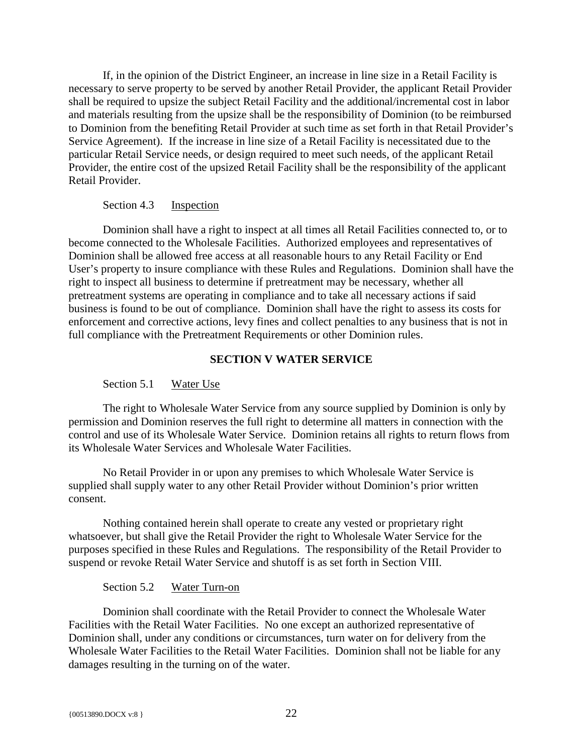If, in the opinion of the District Engineer, an increase in line size in a Retail Facility is necessary to serve property to be served by another Retail Provider, the applicant Retail Provider shall be required to upsize the subject Retail Facility and the additional/incremental cost in labor and materials resulting from the upsize shall be the responsibility of Dominion (to be reimbursed to Dominion from the benefiting Retail Provider at such time as set forth in that Retail Provider's Service Agreement). If the increase in line size of a Retail Facility is necessitated due to the particular Retail Service needs, or design required to meet such needs, of the applicant Retail Provider, the entire cost of the upsized Retail Facility shall be the responsibility of the applicant Retail Provider.

#### Section 4.3 Inspection

<span id="page-25-0"></span>Dominion shall have a right to inspect at all times all Retail Facilities connected to, or to become connected to the Wholesale Facilities. Authorized employees and representatives of Dominion shall be allowed free access at all reasonable hours to any Retail Facility or End User's property to insure compliance with these Rules and Regulations. Dominion shall have the right to inspect all business to determine if pretreatment may be necessary, whether all pretreatment systems are operating in compliance and to take all necessary actions if said business is found to be out of compliance. Dominion shall have the right to assess its costs for enforcement and corrective actions, levy fines and collect penalties to any business that is not in full compliance with the Pretreatment Requirements or other Dominion rules.

#### **SECTION V WATER SERVICE**

#### <span id="page-25-1"></span>Section 5.1 Water Use

<span id="page-25-2"></span>The right to Wholesale Water Service from any source supplied by Dominion is only by permission and Dominion reserves the full right to determine all matters in connection with the control and use of its Wholesale Water Service. Dominion retains all rights to return flows from its Wholesale Water Services and Wholesale Water Facilities.

No Retail Provider in or upon any premises to which Wholesale Water Service is supplied shall supply water to any other Retail Provider without Dominion's prior written consent.

Nothing contained herein shall operate to create any vested or proprietary right whatsoever, but shall give the Retail Provider the right to Wholesale Water Service for the purposes specified in these Rules and Regulations. The responsibility of the Retail Provider to suspend or revoke Retail Water Service and shutoff is as set forth in Section VIII.

#### Section 5.2 Water Turn-on

<span id="page-25-3"></span>Dominion shall coordinate with the Retail Provider to connect the Wholesale Water Facilities with the Retail Water Facilities. No one except an authorized representative of Dominion shall, under any conditions or circumstances, turn water on for delivery from the Wholesale Water Facilities to the Retail Water Facilities. Dominion shall not be liable for any damages resulting in the turning on of the water.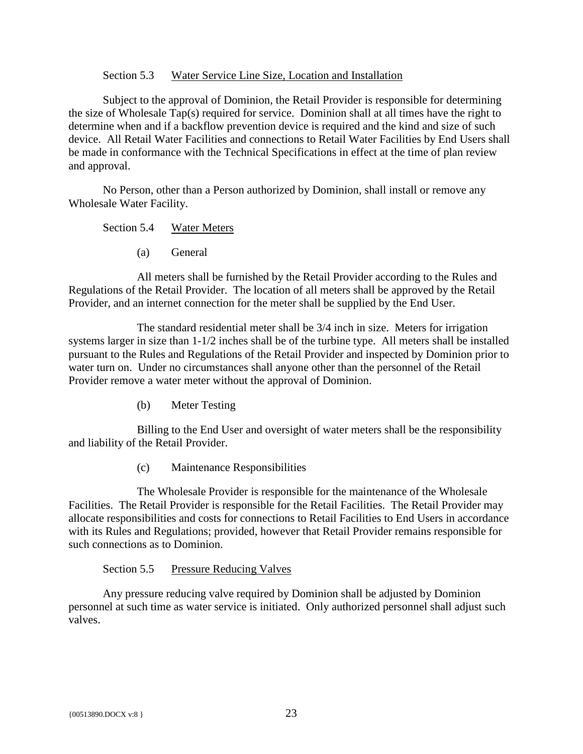#### Section 5.3 Water Service Line Size, Location and Installation

<span id="page-26-0"></span>Subject to the approval of Dominion, the Retail Provider is responsible for determining the size of Wholesale Tap(s) required for service. Dominion shall at all times have the right to determine when and if a backflow prevention device is required and the kind and size of such device. All Retail Water Facilities and connections to Retail Water Facilities by End Users shall be made in conformance with the Technical Specifications in effect at the time of plan review and approval.

<span id="page-26-1"></span>No Person, other than a Person authorized by Dominion, shall install or remove any Wholesale Water Facility.

Section 5.4 Water Meters

(a) General

All meters shall be furnished by the Retail Provider according to the Rules and Regulations of the Retail Provider. The location of all meters shall be approved by the Retail Provider, and an internet connection for the meter shall be supplied by the End User.

The standard residential meter shall be 3/4 inch in size. Meters for irrigation systems larger in size than 1-1/2 inches shall be of the turbine type. All meters shall be installed pursuant to the Rules and Regulations of the Retail Provider and inspected by Dominion prior to water turn on. Under no circumstances shall anyone other than the personnel of the Retail Provider remove a water meter without the approval of Dominion.

(b) Meter Testing

Billing to the End User and oversight of water meters shall be the responsibility and liability of the Retail Provider.

(c) Maintenance Responsibilities

The Wholesale Provider is responsible for the maintenance of the Wholesale Facilities. The Retail Provider is responsible for the Retail Facilities. The Retail Provider may allocate responsibilities and costs for connections to Retail Facilities to End Users in accordance with its Rules and Regulations; provided, however that Retail Provider remains responsible for such connections as to Dominion.

Section 5.5 Pressure Reducing Valves

<span id="page-26-2"></span>Any pressure reducing valve required by Dominion shall be adjusted by Dominion personnel at such time as water service is initiated. Only authorized personnel shall adjust such valves.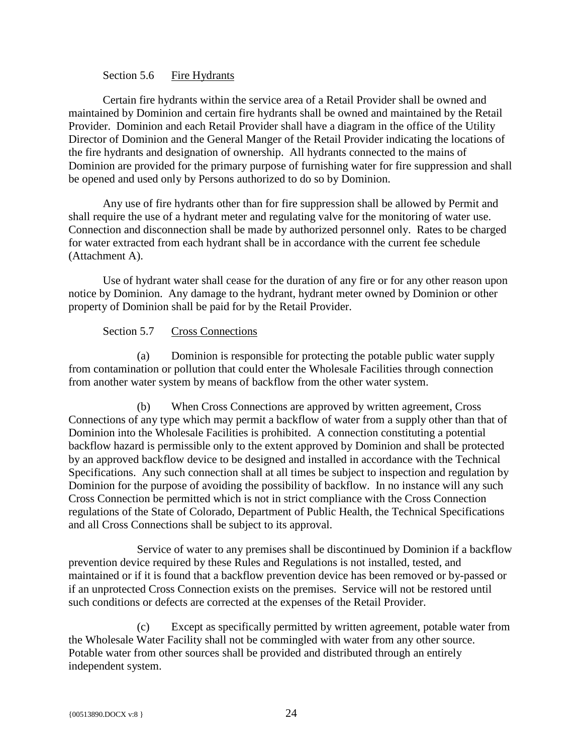#### Section 5.6 Fire Hydrants

<span id="page-27-0"></span>Certain fire hydrants within the service area of a Retail Provider shall be owned and maintained by Dominion and certain fire hydrants shall be owned and maintained by the Retail Provider. Dominion and each Retail Provider shall have a diagram in the office of the Utility Director of Dominion and the General Manger of the Retail Provider indicating the locations of the fire hydrants and designation of ownership. All hydrants connected to the mains of Dominion are provided for the primary purpose of furnishing water for fire suppression and shall be opened and used only by Persons authorized to do so by Dominion.

Any use of fire hydrants other than for fire suppression shall be allowed by Permit and shall require the use of a hydrant meter and regulating valve for the monitoring of water use. Connection and disconnection shall be made by authorized personnel only. Rates to be charged for water extracted from each hydrant shall be in accordance with the current fee schedule (Attachment A).

Use of hydrant water shall cease for the duration of any fire or for any other reason upon notice by Dominion. Any damage to the hydrant, hydrant meter owned by Dominion or other property of Dominion shall be paid for by the Retail Provider.

#### Section 5.7 Cross Connections

<span id="page-27-1"></span>(a) Dominion is responsible for protecting the potable public water supply from contamination or pollution that could enter the Wholesale Facilities through connection from another water system by means of backflow from the other water system.

(b) When Cross Connections are approved by written agreement, Cross Connections of any type which may permit a backflow of water from a supply other than that of Dominion into the Wholesale Facilities is prohibited. A connection constituting a potential backflow hazard is permissible only to the extent approved by Dominion and shall be protected by an approved backflow device to be designed and installed in accordance with the Technical Specifications. Any such connection shall at all times be subject to inspection and regulation by Dominion for the purpose of avoiding the possibility of backflow. In no instance will any such Cross Connection be permitted which is not in strict compliance with the Cross Connection regulations of the State of Colorado, Department of Public Health, the Technical Specifications and all Cross Connections shall be subject to its approval.

Service of water to any premises shall be discontinued by Dominion if a backflow prevention device required by these Rules and Regulations is not installed, tested, and maintained or if it is found that a backflow prevention device has been removed or by-passed or if an unprotected Cross Connection exists on the premises. Service will not be restored until such conditions or defects are corrected at the expenses of the Retail Provider.

(c) Except as specifically permitted by written agreement, potable water from the Wholesale Water Facility shall not be commingled with water from any other source. Potable water from other sources shall be provided and distributed through an entirely independent system.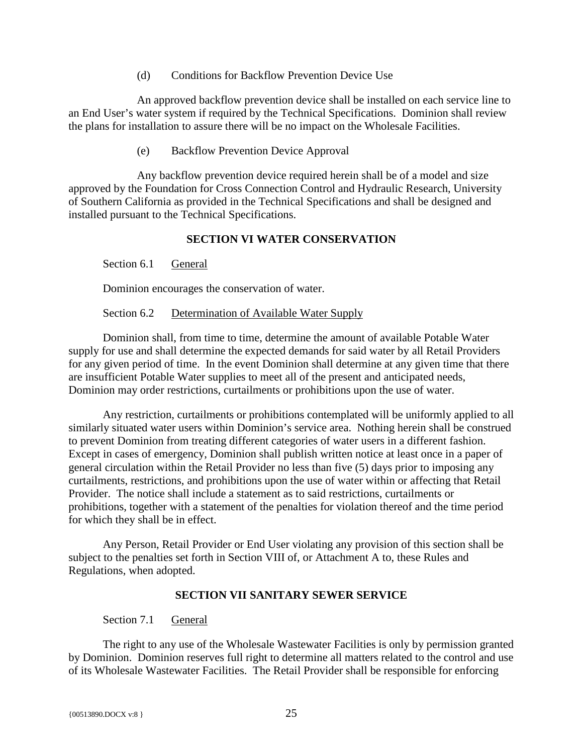(d) Conditions for Backflow Prevention Device Use

An approved backflow prevention device shall be installed on each service line to an End User's water system if required by the Technical Specifications. Dominion shall review the plans for installation to assure there will be no impact on the Wholesale Facilities.

(e) Backflow Prevention Device Approval

Any backflow prevention device required herein shall be of a model and size approved by the Foundation for Cross Connection Control and Hydraulic Research, University of Southern California as provided in the Technical Specifications and shall be designed and installed pursuant to the Technical Specifications.

# **SECTION VI WATER CONSERVATION**

<span id="page-28-1"></span><span id="page-28-0"></span>Section 6.1 General

Dominion encourages the conservation of water.

Section 6.2 Determination of Available Water Supply

<span id="page-28-2"></span>Dominion shall, from time to time, determine the amount of available Potable Water supply for use and shall determine the expected demands for said water by all Retail Providers for any given period of time. In the event Dominion shall determine at any given time that there are insufficient Potable Water supplies to meet all of the present and anticipated needs, Dominion may order restrictions, curtailments or prohibitions upon the use of water.

Any restriction, curtailments or prohibitions contemplated will be uniformly applied to all similarly situated water users within Dominion's service area. Nothing herein shall be construed to prevent Dominion from treating different categories of water users in a different fashion. Except in cases of emergency, Dominion shall publish written notice at least once in a paper of general circulation within the Retail Provider no less than five (5) days prior to imposing any curtailments, restrictions, and prohibitions upon the use of water within or affecting that Retail Provider. The notice shall include a statement as to said restrictions, curtailments or prohibitions, together with a statement of the penalties for violation thereof and the time period for which they shall be in effect.

Any Person, Retail Provider or End User violating any provision of this section shall be subject to the penalties set forth in Section VIII of, or Attachment A to, these Rules and Regulations, when adopted.

#### **SECTION VII SANITARY SEWER SERVICE**

#### <span id="page-28-3"></span>Section 7.1 General

<span id="page-28-4"></span>The right to any use of the Wholesale Wastewater Facilities is only by permission granted by Dominion. Dominion reserves full right to determine all matters related to the control and use of its Wholesale Wastewater Facilities. The Retail Provider shall be responsible for enforcing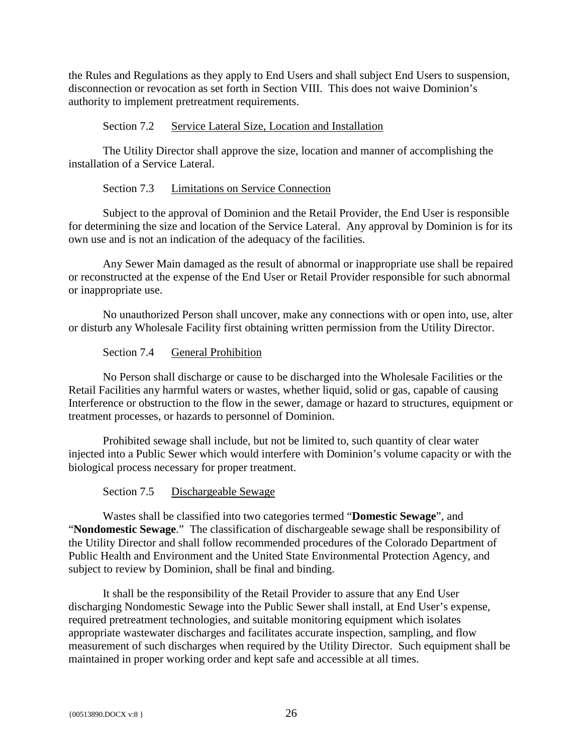the Rules and Regulations as they apply to End Users and shall subject End Users to suspension, disconnection or revocation as set forth in Section VIII. This does not waive Dominion's authority to implement pretreatment requirements.

Section 7.2 Service Lateral Size, Location and Installation

<span id="page-29-0"></span>The Utility Director shall approve the size, location and manner of accomplishing the installation of a Service Lateral.

#### Section 7.3 Limitations on Service Connection

<span id="page-29-1"></span>Subject to the approval of Dominion and the Retail Provider, the End User is responsible for determining the size and location of the Service Lateral. Any approval by Dominion is for its own use and is not an indication of the adequacy of the facilities.

Any Sewer Main damaged as the result of abnormal or inappropriate use shall be repaired or reconstructed at the expense of the End User or Retail Provider responsible for such abnormal or inappropriate use.

No unauthorized Person shall uncover, make any connections with or open into, use, alter or disturb any Wholesale Facility first obtaining written permission from the Utility Director.

Section 7.4 General Prohibition

<span id="page-29-2"></span>No Person shall discharge or cause to be discharged into the Wholesale Facilities or the Retail Facilities any harmful waters or wastes, whether liquid, solid or gas, capable of causing Interference or obstruction to the flow in the sewer, damage or hazard to structures, equipment or treatment processes, or hazards to personnel of Dominion.

Prohibited sewage shall include, but not be limited to, such quantity of clear water injected into a Public Sewer which would interfere with Dominion's volume capacity or with the biological process necessary for proper treatment.

Section 7.5 Dischargeable Sewage

<span id="page-29-3"></span>Wastes shall be classified into two categories termed "**Domestic Sewage**", and "**Nondomestic Sewage**." The classification of dischargeable sewage shall be responsibility of the Utility Director and shall follow recommended procedures of the Colorado Department of Public Health and Environment and the United State Environmental Protection Agency, and subject to review by Dominion, shall be final and binding.

It shall be the responsibility of the Retail Provider to assure that any End User discharging Nondomestic Sewage into the Public Sewer shall install, at End User's expense, required pretreatment technologies, and suitable monitoring equipment which isolates appropriate wastewater discharges and facilitates accurate inspection, sampling, and flow measurement of such discharges when required by the Utility Director. Such equipment shall be maintained in proper working order and kept safe and accessible at all times.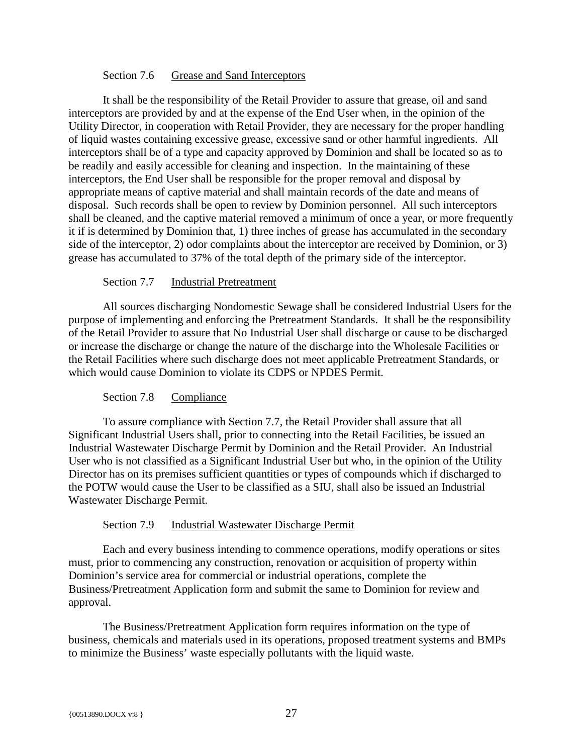#### Section 7.6 Grease and Sand Interceptors

<span id="page-30-0"></span>It shall be the responsibility of the Retail Provider to assure that grease, oil and sand interceptors are provided by and at the expense of the End User when, in the opinion of the Utility Director, in cooperation with Retail Provider, they are necessary for the proper handling of liquid wastes containing excessive grease, excessive sand or other harmful ingredients. All interceptors shall be of a type and capacity approved by Dominion and shall be located so as to be readily and easily accessible for cleaning and inspection. In the maintaining of these interceptors, the End User shall be responsible for the proper removal and disposal by appropriate means of captive material and shall maintain records of the date and means of disposal. Such records shall be open to review by Dominion personnel. All such interceptors shall be cleaned, and the captive material removed a minimum of once a year, or more frequently it if is determined by Dominion that, 1) three inches of grease has accumulated in the secondary side of the interceptor, 2) odor complaints about the interceptor are received by Dominion, or 3) grease has accumulated to 37% of the total depth of the primary side of the interceptor.

#### Section 7.7 Industrial Pretreatment

<span id="page-30-1"></span>All sources discharging Nondomestic Sewage shall be considered Industrial Users for the purpose of implementing and enforcing the Pretreatment Standards. It shall be the responsibility of the Retail Provider to assure that No Industrial User shall discharge or cause to be discharged or increase the discharge or change the nature of the discharge into the Wholesale Facilities or the Retail Facilities where such discharge does not meet applicable Pretreatment Standards, or which would cause Dominion to violate its CDPS or NPDES Permit.

# Section 7.8 Compliance

<span id="page-30-2"></span>To assure compliance with Section 7.7, the Retail Provider shall assure that all Significant Industrial Users shall, prior to connecting into the Retail Facilities, be issued an Industrial Wastewater Discharge Permit by Dominion and the Retail Provider. An Industrial User who is not classified as a Significant Industrial User but who, in the opinion of the Utility Director has on its premises sufficient quantities or types of compounds which if discharged to the POTW would cause the User to be classified as a SIU, shall also be issued an Industrial Wastewater Discharge Permit.

# Section 7.9 Industrial Wastewater Discharge Permit

<span id="page-30-3"></span>Each and every business intending to commence operations, modify operations or sites must, prior to commencing any construction, renovation or acquisition of property within Dominion's service area for commercial or industrial operations, complete the Business/Pretreatment Application form and submit the same to Dominion for review and approval.

The Business/Pretreatment Application form requires information on the type of business, chemicals and materials used in its operations, proposed treatment systems and BMPs to minimize the Business' waste especially pollutants with the liquid waste.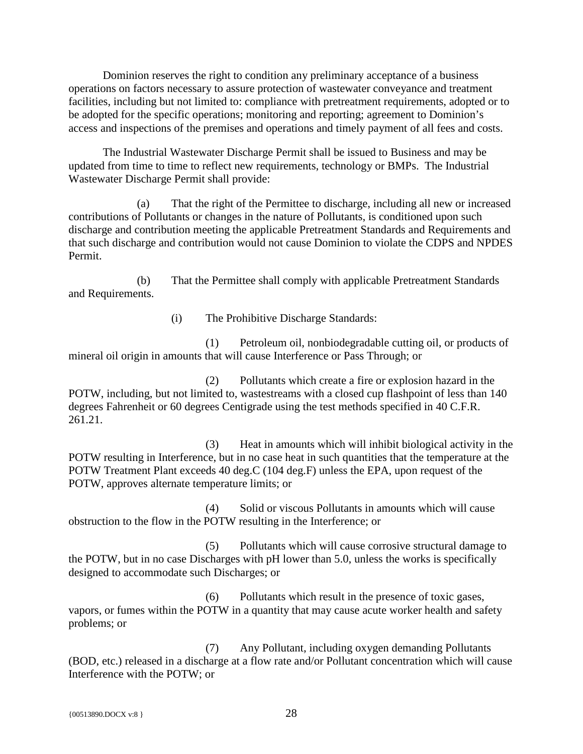Dominion reserves the right to condition any preliminary acceptance of a business operations on factors necessary to assure protection of wastewater conveyance and treatment facilities, including but not limited to: compliance with pretreatment requirements, adopted or to be adopted for the specific operations; monitoring and reporting; agreement to Dominion's access and inspections of the premises and operations and timely payment of all fees and costs.

The Industrial Wastewater Discharge Permit shall be issued to Business and may be updated from time to time to reflect new requirements, technology or BMPs. The Industrial Wastewater Discharge Permit shall provide:

(a) That the right of the Permittee to discharge, including all new or increased contributions of Pollutants or changes in the nature of Pollutants, is conditioned upon such discharge and contribution meeting the applicable Pretreatment Standards and Requirements and that such discharge and contribution would not cause Dominion to violate the CDPS and NPDES Permit.

(b) That the Permittee shall comply with applicable Pretreatment Standards and Requirements.

(i) The Prohibitive Discharge Standards:

(1) Petroleum oil, nonbiodegradable cutting oil, or products of mineral oil origin in amounts that will cause Interference or Pass Through; or

(2) Pollutants which create a fire or explosion hazard in the POTW, including, but not limited to, wastestreams with a closed cup flashpoint of less than 140 degrees Fahrenheit or 60 degrees Centigrade using the test methods specified in 40 C.F.R. 261.21.

(3) Heat in amounts which will inhibit biological activity in the POTW resulting in Interference, but in no case heat in such quantities that the temperature at the POTW Treatment Plant exceeds 40 deg.C (104 deg.F) unless the EPA, upon request of the POTW, approves alternate temperature limits; or

(4) Solid or viscous Pollutants in amounts which will cause obstruction to the flow in the POTW resulting in the Interference; or

(5) Pollutants which will cause corrosive structural damage to the POTW, but in no case Discharges with pH lower than 5.0, unless the works is specifically designed to accommodate such Discharges; or

(6) Pollutants which result in the presence of toxic gases, vapors, or fumes within the POTW in a quantity that may cause acute worker health and safety problems; or

(7) Any Pollutant, including oxygen demanding Pollutants (BOD, etc.) released in a discharge at a flow rate and/or Pollutant concentration which will cause Interference with the POTW; or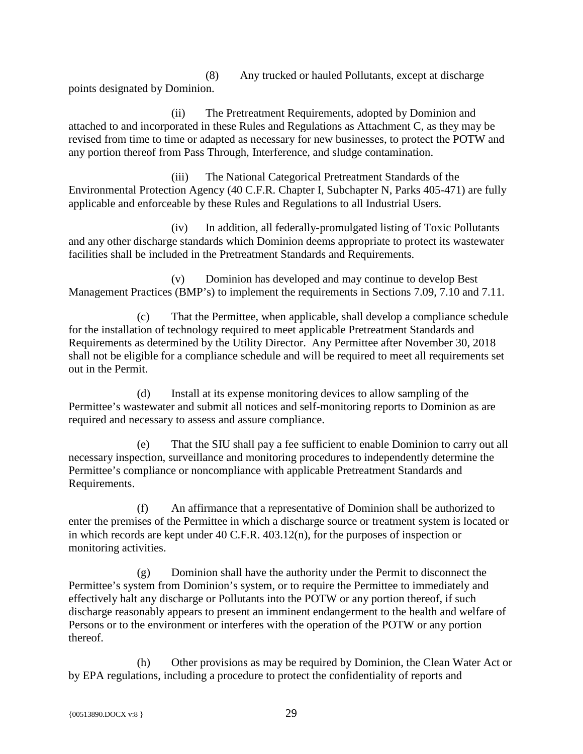(8) Any trucked or hauled Pollutants, except at discharge points designated by Dominion.

(ii) The Pretreatment Requirements, adopted by Dominion and attached to and incorporated in these Rules and Regulations as Attachment C, as they may be revised from time to time or adapted as necessary for new businesses, to protect the POTW and any portion thereof from Pass Through, Interference, and sludge contamination.

(iii) The National Categorical Pretreatment Standards of the Environmental Protection Agency (40 C.F.R. Chapter I, Subchapter N, Parks 405-471) are fully applicable and enforceable by these Rules and Regulations to all Industrial Users.

(iv) In addition, all federally-promulgated listing of Toxic Pollutants and any other discharge standards which Dominion deems appropriate to protect its wastewater facilities shall be included in the Pretreatment Standards and Requirements.

(v) Dominion has developed and may continue to develop Best Management Practices (BMP's) to implement the requirements in Sections 7.09, 7.10 and 7.11.

(c) That the Permittee, when applicable, shall develop a compliance schedule for the installation of technology required to meet applicable Pretreatment Standards and Requirements as determined by the Utility Director. Any Permittee after November 30, 2018 shall not be eligible for a compliance schedule and will be required to meet all requirements set out in the Permit.

(d) Install at its expense monitoring devices to allow sampling of the Permittee's wastewater and submit all notices and self-monitoring reports to Dominion as are required and necessary to assess and assure compliance.

(e) That the SIU shall pay a fee sufficient to enable Dominion to carry out all necessary inspection, surveillance and monitoring procedures to independently determine the Permittee's compliance or noncompliance with applicable Pretreatment Standards and Requirements.

(f) An affirmance that a representative of Dominion shall be authorized to enter the premises of the Permittee in which a discharge source or treatment system is located or in which records are kept under 40 C.F.R. 403.12(n), for the purposes of inspection or monitoring activities.

(g) Dominion shall have the authority under the Permit to disconnect the Permittee's system from Dominion's system, or to require the Permittee to immediately and effectively halt any discharge or Pollutants into the POTW or any portion thereof, if such discharge reasonably appears to present an imminent endangerment to the health and welfare of Persons or to the environment or interferes with the operation of the POTW or any portion thereof.

(h) Other provisions as may be required by Dominion, the Clean Water Act or by EPA regulations, including a procedure to protect the confidentiality of reports and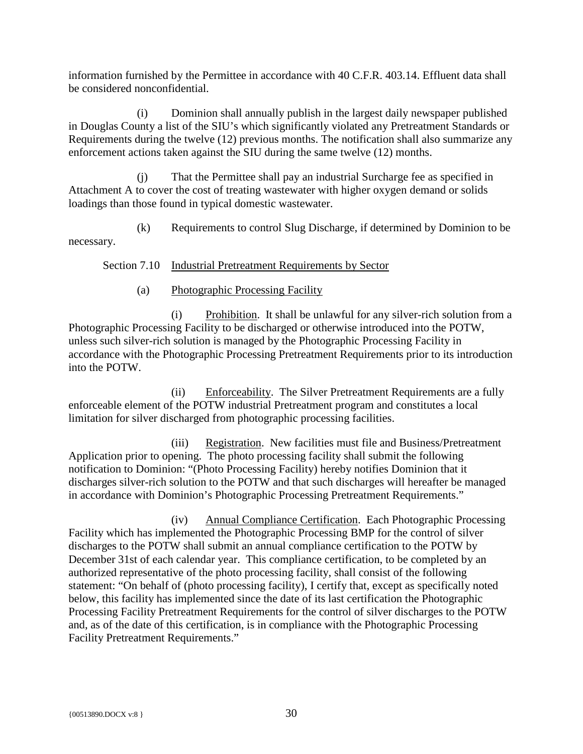information furnished by the Permittee in accordance with 40 C.F.R. 403.14. Effluent data shall be considered nonconfidential.

(i) Dominion shall annually publish in the largest daily newspaper published in Douglas County a list of the SIU's which significantly violated any Pretreatment Standards or Requirements during the twelve (12) previous months. The notification shall also summarize any enforcement actions taken against the SIU during the same twelve (12) months.

(j) That the Permittee shall pay an industrial Surcharge fee as specified in Attachment A to cover the cost of treating wastewater with higher oxygen demand or solids loadings than those found in typical domestic wastewater.

(k) Requirements to control Slug Discharge, if determined by Dominion to be necessary.

<span id="page-33-0"></span>Section 7.10 Industrial Pretreatment Requirements by Sector

(a) Photographic Processing Facility

(i) Prohibition. It shall be unlawful for any silver-rich solution from a Photographic Processing Facility to be discharged or otherwise introduced into the POTW, unless such silver-rich solution is managed by the Photographic Processing Facility in accordance with the Photographic Processing Pretreatment Requirements prior to its introduction into the POTW.

(ii) Enforceability. The Silver Pretreatment Requirements are a fully enforceable element of the POTW industrial Pretreatment program and constitutes a local limitation for silver discharged from photographic processing facilities.

(iii) Registration. New facilities must file and Business/Pretreatment Application prior to opening. The photo processing facility shall submit the following notification to Dominion: "(Photo Processing Facility) hereby notifies Dominion that it discharges silver-rich solution to the POTW and that such discharges will hereafter be managed in accordance with Dominion's Photographic Processing Pretreatment Requirements."

(iv) Annual Compliance Certification. Each Photographic Processing Facility which has implemented the Photographic Processing BMP for the control of silver discharges to the POTW shall submit an annual compliance certification to the POTW by December 31st of each calendar year. This compliance certification, to be completed by an authorized representative of the photo processing facility, shall consist of the following statement: "On behalf of (photo processing facility), I certify that, except as specifically noted below, this facility has implemented since the date of its last certification the Photographic Processing Facility Pretreatment Requirements for the control of silver discharges to the POTW and, as of the date of this certification, is in compliance with the Photographic Processing Facility Pretreatment Requirements."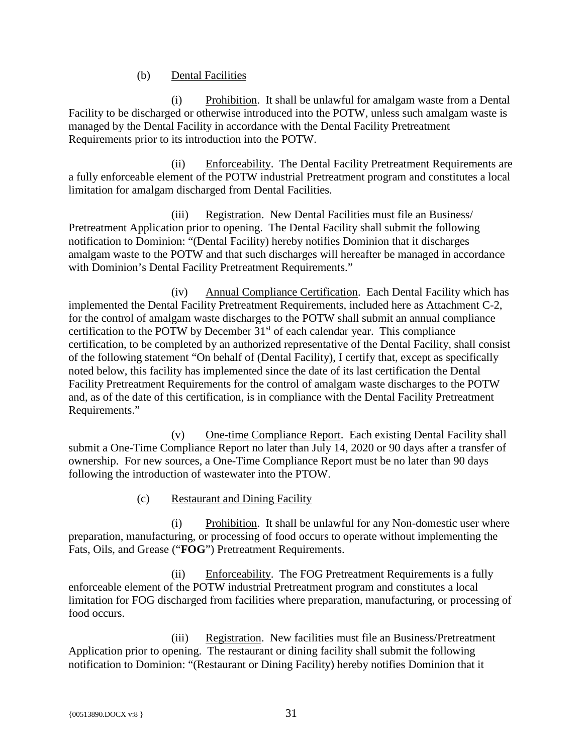(b) Dental Facilities

(i) Prohibition. It shall be unlawful for amalgam waste from a Dental Facility to be discharged or otherwise introduced into the POTW, unless such amalgam waste is managed by the Dental Facility in accordance with the Dental Facility Pretreatment Requirements prior to its introduction into the POTW.

(ii) Enforceability. The Dental Facility Pretreatment Requirements are a fully enforceable element of the POTW industrial Pretreatment program and constitutes a local limitation for amalgam discharged from Dental Facilities.

(iii) Registration. New Dental Facilities must file an Business/ Pretreatment Application prior to opening. The Dental Facility shall submit the following notification to Dominion: "(Dental Facility) hereby notifies Dominion that it discharges amalgam waste to the POTW and that such discharges will hereafter be managed in accordance with Dominion's Dental Facility Pretreatment Requirements."

(iv) Annual Compliance Certification. Each Dental Facility which has implemented the Dental Facility Pretreatment Requirements, included here as Attachment C-2, for the control of amalgam waste discharges to the POTW shall submit an annual compliance certification to the POTW by December  $31<sup>st</sup>$  of each calendar year. This compliance certification, to be completed by an authorized representative of the Dental Facility, shall consist of the following statement "On behalf of (Dental Facility), I certify that, except as specifically noted below, this facility has implemented since the date of its last certification the Dental Facility Pretreatment Requirements for the control of amalgam waste discharges to the POTW and, as of the date of this certification, is in compliance with the Dental Facility Pretreatment Requirements."

(v) One-time Compliance Report. Each existing Dental Facility shall submit a One-Time Compliance Report no later than July 14, 2020 or 90 days after a transfer of ownership. For new sources, a One-Time Compliance Report must be no later than 90 days following the introduction of wastewater into the PTOW.

(c) Restaurant and Dining Facility

(i) Prohibition. It shall be unlawful for any Non-domestic user where preparation, manufacturing, or processing of food occurs to operate without implementing the Fats, Oils, and Grease ("**FOG**") Pretreatment Requirements.

(ii) Enforceability. The FOG Pretreatment Requirements is a fully enforceable element of the POTW industrial Pretreatment program and constitutes a local limitation for FOG discharged from facilities where preparation, manufacturing, or processing of food occurs.

(iii) Registration. New facilities must file an Business/Pretreatment Application prior to opening. The restaurant or dining facility shall submit the following notification to Dominion: "(Restaurant or Dining Facility) hereby notifies Dominion that it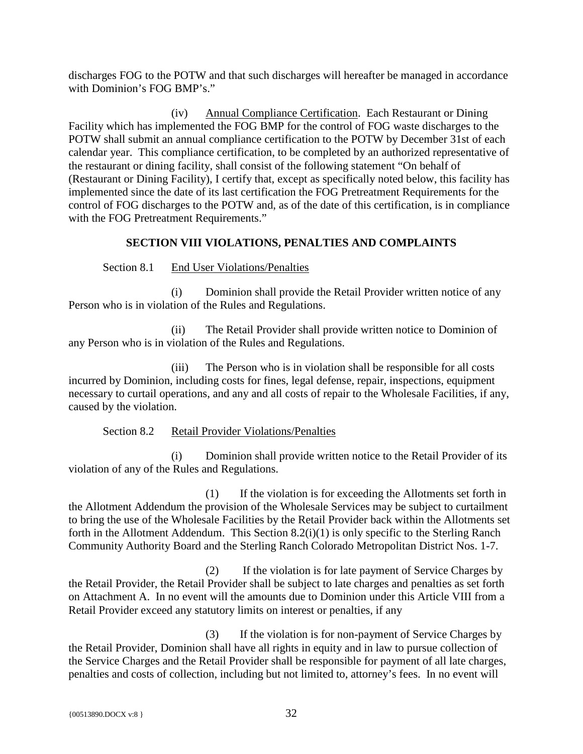discharges FOG to the POTW and that such discharges will hereafter be managed in accordance with Dominion's FOG BMP's."

(iv) Annual Compliance Certification. Each Restaurant or Dining Facility which has implemented the FOG BMP for the control of FOG waste discharges to the POTW shall submit an annual compliance certification to the POTW by December 31st of each calendar year. This compliance certification, to be completed by an authorized representative of the restaurant or dining facility, shall consist of the following statement "On behalf of (Restaurant or Dining Facility), I certify that, except as specifically noted below, this facility has implemented since the date of its last certification the FOG Pretreatment Requirements for the control of FOG discharges to the POTW and, as of the date of this certification, is in compliance with the FOG Pretreatment Requirements."

# **SECTION VIII VIOLATIONS, PENALTIES AND COMPLAINTS**

<span id="page-35-0"></span>Section 8.1 End User Violations/Penalties

<span id="page-35-1"></span>(i) Dominion shall provide the Retail Provider written notice of any Person who is in violation of the Rules and Regulations.

(ii) The Retail Provider shall provide written notice to Dominion of any Person who is in violation of the Rules and Regulations.

(iii) The Person who is in violation shall be responsible for all costs incurred by Dominion, including costs for fines, legal defense, repair, inspections, equipment necessary to curtail operations, and any and all costs of repair to the Wholesale Facilities, if any, caused by the violation.

Section 8.2 Retail Provider Violations/Penalties

<span id="page-35-2"></span>(i) Dominion shall provide written notice to the Retail Provider of its violation of any of the Rules and Regulations.

(1) If the violation is for exceeding the Allotments set forth in the Allotment Addendum the provision of the Wholesale Services may be subject to curtailment to bring the use of the Wholesale Facilities by the Retail Provider back within the Allotments set forth in the Allotment Addendum. This Section 8.2(i)(1) is only specific to the Sterling Ranch Community Authority Board and the Sterling Ranch Colorado Metropolitan District Nos. 1-7.

(2) If the violation is for late payment of Service Charges by the Retail Provider, the Retail Provider shall be subject to late charges and penalties as set forth on Attachment A. In no event will the amounts due to Dominion under this Article VIII from a Retail Provider exceed any statutory limits on interest or penalties, if any

(3) If the violation is for non-payment of Service Charges by the Retail Provider, Dominion shall have all rights in equity and in law to pursue collection of the Service Charges and the Retail Provider shall be responsible for payment of all late charges, penalties and costs of collection, including but not limited to, attorney's fees. In no event will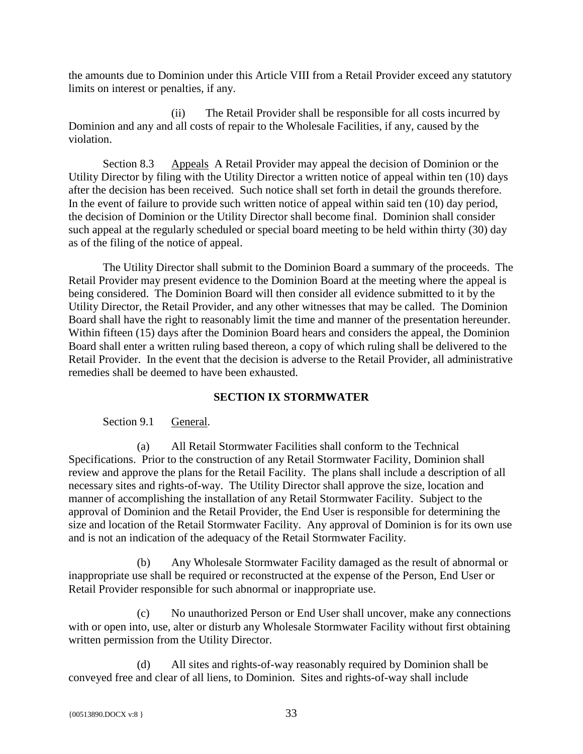the amounts due to Dominion under this Article VIII from a Retail Provider exceed any statutory limits on interest or penalties, if any.

(ii) The Retail Provider shall be responsible for all costs incurred by Dominion and any and all costs of repair to the Wholesale Facilities, if any, caused by the violation.

<span id="page-36-0"></span>Section 8.3 Appeals A Retail Provider may appeal the decision of Dominion or the Utility Director by filing with the Utility Director a written notice of appeal within ten (10) days after the decision has been received. Such notice shall set forth in detail the grounds therefore. In the event of failure to provide such written notice of appeal within said ten (10) day period, the decision of Dominion or the Utility Director shall become final. Dominion shall consider such appeal at the regularly scheduled or special board meeting to be held within thirty (30) day as of the filing of the notice of appeal.

The Utility Director shall submit to the Dominion Board a summary of the proceeds. The Retail Provider may present evidence to the Dominion Board at the meeting where the appeal is being considered. The Dominion Board will then consider all evidence submitted to it by the Utility Director, the Retail Provider, and any other witnesses that may be called. The Dominion Board shall have the right to reasonably limit the time and manner of the presentation hereunder. Within fifteen (15) days after the Dominion Board hears and considers the appeal, the Dominion Board shall enter a written ruling based thereon, a copy of which ruling shall be delivered to the Retail Provider. In the event that the decision is adverse to the Retail Provider, all administrative remedies shall be deemed to have been exhausted.

# **SECTION IX STORMWATER**

# <span id="page-36-1"></span>Section 9.1 General.

<span id="page-36-2"></span>(a) All Retail Stormwater Facilities shall conform to the Technical Specifications. Prior to the construction of any Retail Stormwater Facility, Dominion shall review and approve the plans for the Retail Facility. The plans shall include a description of all necessary sites and rights-of-way. The Utility Director shall approve the size, location and manner of accomplishing the installation of any Retail Stormwater Facility. Subject to the approval of Dominion and the Retail Provider, the End User is responsible for determining the size and location of the Retail Stormwater Facility. Any approval of Dominion is for its own use and is not an indication of the adequacy of the Retail Stormwater Facility.

(b) Any Wholesale Stormwater Facility damaged as the result of abnormal or inappropriate use shall be required or reconstructed at the expense of the Person, End User or Retail Provider responsible for such abnormal or inappropriate use.

(c) No unauthorized Person or End User shall uncover, make any connections with or open into, use, alter or disturb any Wholesale Stormwater Facility without first obtaining written permission from the Utility Director.

(d) All sites and rights-of-way reasonably required by Dominion shall be conveyed free and clear of all liens, to Dominion. Sites and rights-of-way shall include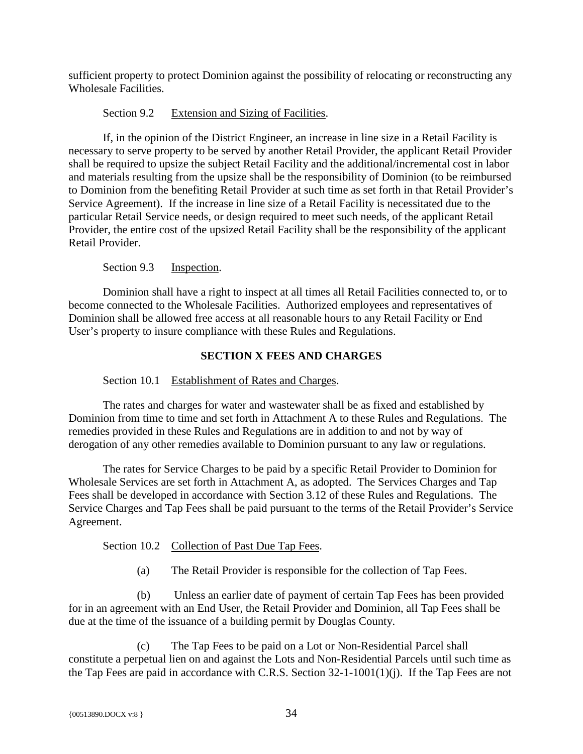sufficient property to protect Dominion against the possibility of relocating or reconstructing any Wholesale Facilities.

# Section 9.2 Extension and Sizing of Facilities.

<span id="page-37-0"></span>If, in the opinion of the District Engineer, an increase in line size in a Retail Facility is necessary to serve property to be served by another Retail Provider, the applicant Retail Provider shall be required to upsize the subject Retail Facility and the additional/incremental cost in labor and materials resulting from the upsize shall be the responsibility of Dominion (to be reimbursed to Dominion from the benefiting Retail Provider at such time as set forth in that Retail Provider's Service Agreement). If the increase in line size of a Retail Facility is necessitated due to the particular Retail Service needs, or design required to meet such needs, of the applicant Retail Provider, the entire cost of the upsized Retail Facility shall be the responsibility of the applicant Retail Provider.

# Section 9.3 Inspection.

<span id="page-37-1"></span>Dominion shall have a right to inspect at all times all Retail Facilities connected to, or to become connected to the Wholesale Facilities. Authorized employees and representatives of Dominion shall be allowed free access at all reasonable hours to any Retail Facility or End User's property to insure compliance with these Rules and Regulations.

# **SECTION X FEES AND CHARGES**

# <span id="page-37-2"></span>Section 10.1 Establishment of Rates and Charges.

<span id="page-37-3"></span>The rates and charges for water and wastewater shall be as fixed and established by Dominion from time to time and set forth in Attachment A to these Rules and Regulations. The remedies provided in these Rules and Regulations are in addition to and not by way of derogation of any other remedies available to Dominion pursuant to any law or regulations.

The rates for Service Charges to be paid by a specific Retail Provider to Dominion for Wholesale Services are set forth in Attachment A, as adopted. The Services Charges and Tap Fees shall be developed in accordance with Section 3.12 of these Rules and Regulations. The Service Charges and Tap Fees shall be paid pursuant to the terms of the Retail Provider's Service Agreement.

# <span id="page-37-4"></span>Section 10.2 Collection of Past Due Tap Fees.

(a) The Retail Provider is responsible for the collection of Tap Fees.

(b) Unless an earlier date of payment of certain Tap Fees has been provided for in an agreement with an End User, the Retail Provider and Dominion, all Tap Fees shall be due at the time of the issuance of a building permit by Douglas County.

(c) The Tap Fees to be paid on a Lot or Non-Residential Parcel shall constitute a perpetual lien on and against the Lots and Non-Residential Parcels until such time as the Tap Fees are paid in accordance with C.R.S. Section 32-1-1001(1)(j). If the Tap Fees are not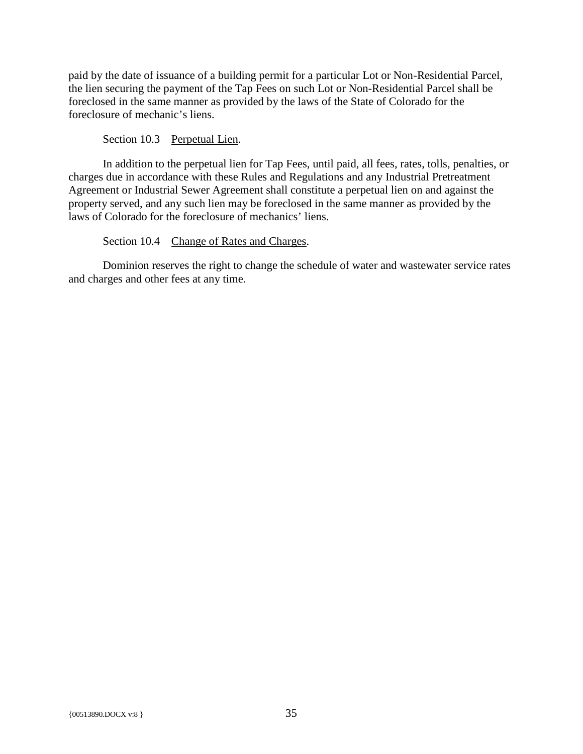paid by the date of issuance of a building permit for a particular Lot or Non-Residential Parcel, the lien securing the payment of the Tap Fees on such Lot or Non-Residential Parcel shall be foreclosed in the same manner as provided by the laws of the State of Colorado for the foreclosure of mechanic's liens.

Section 10.3 Perpetual Lien.

<span id="page-38-0"></span>In addition to the perpetual lien for Tap Fees, until paid, all fees, rates, tolls, penalties, or charges due in accordance with these Rules and Regulations and any Industrial Pretreatment Agreement or Industrial Sewer Agreement shall constitute a perpetual lien on and against the property served, and any such lien may be foreclosed in the same manner as provided by the laws of Colorado for the foreclosure of mechanics' liens.

Section 10.4 Change of Rates and Charges.

<span id="page-38-1"></span>Dominion reserves the right to change the schedule of water and wastewater service rates and charges and other fees at any time.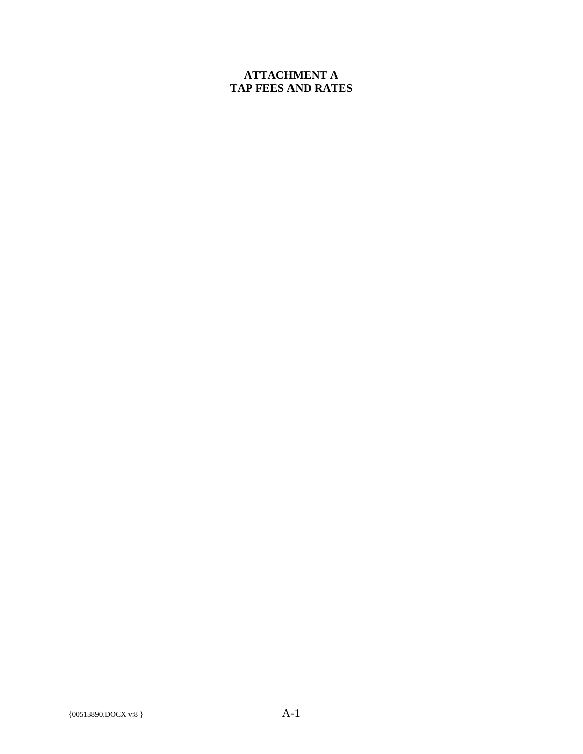# **ATTACHMENT A TAP FEES AND RATES**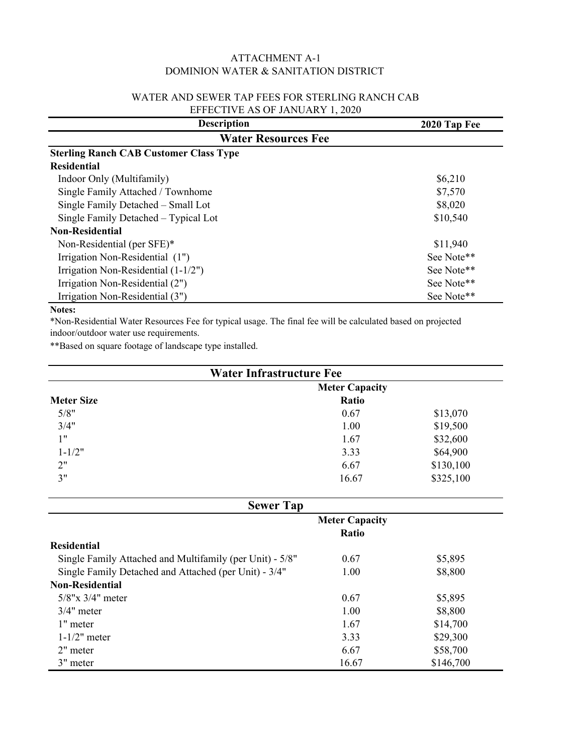# ATTACHMENT A-1 DOMINION WATER & SANITATION DISTRICT

#### WATER AND SEWER TAP FEES FOR STERLING RANCH CAB EFFECTIVE AS OF JANUARY 1, 2020

| <b>Description</b>                            | 2020 Tap Fee |  |
|-----------------------------------------------|--------------|--|
| <b>Water Resources Fee</b>                    |              |  |
| <b>Sterling Ranch CAB Customer Class Type</b> |              |  |
| <b>Residential</b>                            |              |  |
| Indoor Only (Multifamily)                     | \$6,210      |  |
| Single Family Attached / Townhome             | \$7,570      |  |
| Single Family Detached - Small Lot            | \$8,020      |  |
| Single Family Detached – Typical Lot          | \$10,540     |  |
| <b>Non-Residential</b>                        |              |  |
| Non-Residential (per SFE)*                    | \$11,940     |  |
| Irrigation Non-Residential (1")               | See Note**   |  |
| Irrigation Non-Residential (1-1/2")           | See Note**   |  |
| Irrigation Non-Residential (2")               | See Note**   |  |
| Irrigation Non-Residential (3")               | See Note**   |  |

# **Notes:**

\*Non-Residential Water Resources Fee for typical usage. The final fee will be calculated based on projected indoor/outdoor water use requirements.

\*\*Based on square footage of landscape type installed.

| <b>Water Infrastructure Fee</b> |                       |           |
|---------------------------------|-----------------------|-----------|
|                                 | <b>Meter Capacity</b> |           |
| <b>Meter Size</b>               | Ratio                 |           |
| 5/8"                            | 0.67                  | \$13,070  |
| 3/4"                            | 1.00                  | \$19,500  |
| 1"                              | 1.67                  | \$32,600  |
| $1 - 1/2"$                      | 3.33                  | \$64,900  |
| 2"                              | 6.67                  | \$130,100 |
| 3"                              | 16.67                 | \$325,100 |

| <b>Sewer Tap</b>                                         |                       |           |  |
|----------------------------------------------------------|-----------------------|-----------|--|
|                                                          | <b>Meter Capacity</b> |           |  |
|                                                          | <b>Ratio</b>          |           |  |
| Residential                                              |                       |           |  |
| Single Family Attached and Multifamily (per Unit) - 5/8" | 0.67                  | \$5,895   |  |
| Single Family Detached and Attached (per Unit) - 3/4"    | 1.00                  | \$8,800   |  |
| <b>Non-Residential</b>                                   |                       |           |  |
| $5/8$ "x $3/4$ " meter                                   | 0.67                  | \$5,895   |  |
| $3/4"$ meter                                             | 1.00                  | \$8,800   |  |
| 1" meter                                                 | 1.67                  | \$14,700  |  |
| $1-1/2$ " meter                                          | 3.33                  | \$29,300  |  |
| 2" meter                                                 | 6.67                  | \$58,700  |  |
| 3" meter                                                 | 16.67                 | \$146,700 |  |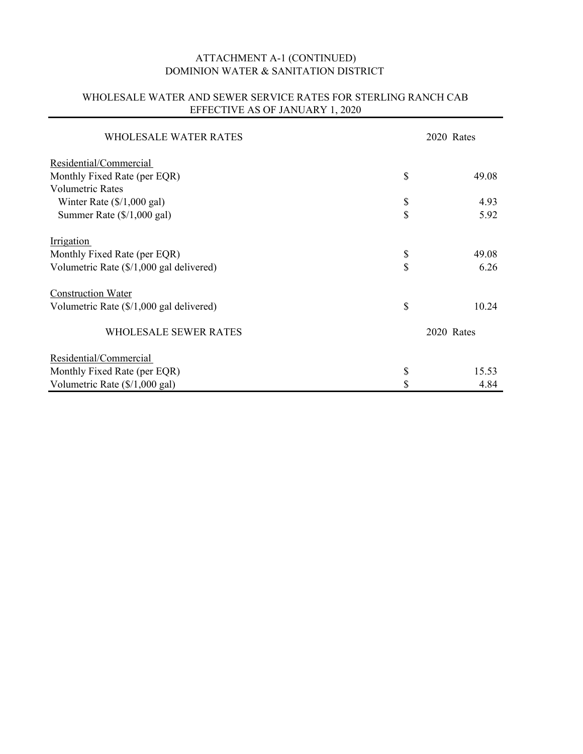# ATTACHMENT A-1 (CONTINUED) DOMINION WATER & SANITATION DISTRICT

# WHOLESALE WATER AND SEWER SERVICE RATES FOR STERLING RANCH CAB EFFECTIVE AS OF JANUARY 1, 2020

| WHOLESALE WATER RATES                    |            | 2020 Rates |  |
|------------------------------------------|------------|------------|--|
| Residential/Commercial                   |            |            |  |
| Monthly Fixed Rate (per EQR)             | \$         | 49.08      |  |
| <b>Volumetric Rates</b>                  |            |            |  |
| Winter Rate $(\frac{6}{1,000}$ gal)      | \$         | 4.93       |  |
| Summer Rate $(\frac{6}{1,000}$ gal)      | \$         | 5.92       |  |
| Irrigation                               |            |            |  |
| Monthly Fixed Rate (per EQR)             | \$         | 49.08      |  |
| Volumetric Rate (\$/1,000 gal delivered) | \$         | 6.26       |  |
| <b>Construction Water</b>                |            |            |  |
| Volumetric Rate (\$/1,000 gal delivered) | \$         | 10.24      |  |
| <b>WHOLESALE SEWER RATES</b>             | 2020 Rates |            |  |
| Residential/Commercial                   |            |            |  |
| Monthly Fixed Rate (per EQR)             | \$         | 15.53      |  |
| Volumetric Rate (\$/1,000 gal)           | \$         | 4.84       |  |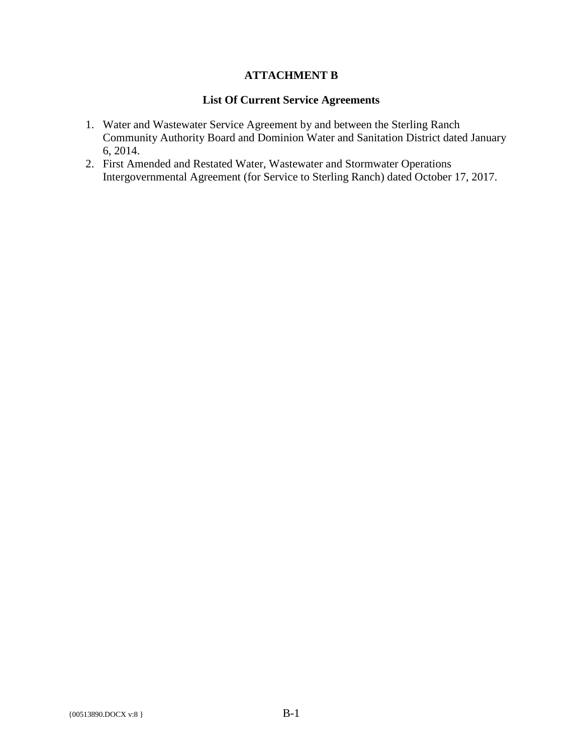# **ATTACHMENT B**

#### **List Of Current Service Agreements**

- 1. Water and Wastewater Service Agreement by and between the Sterling Ranch Community Authority Board and Dominion Water and Sanitation District dated January 6, 2014.
- 2. First Amended and Restated Water, Wastewater and Stormwater Operations Intergovernmental Agreement (for Service to Sterling Ranch) dated October 17, 2017.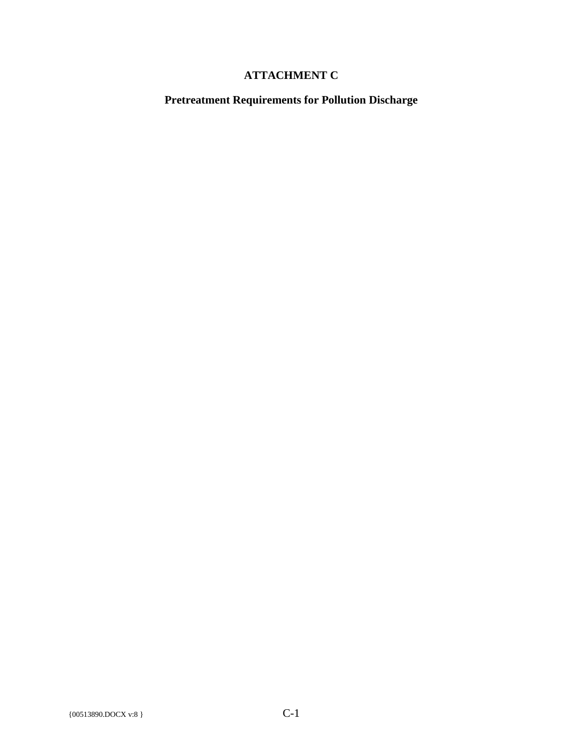# **ATTACHMENT C**

**Pretreatment Requirements for Pollution Discharge**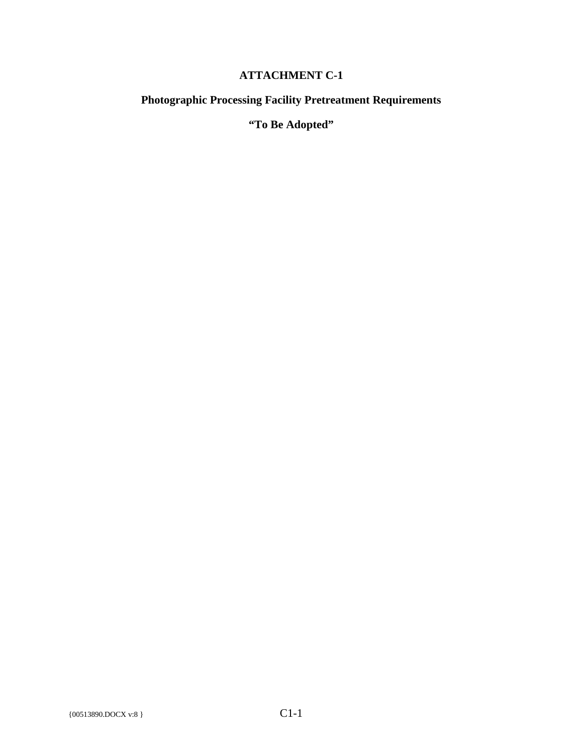# **ATTACHMENT C-1**

# **Photographic Processing Facility Pretreatment Requirements**

**"To Be Adopted"**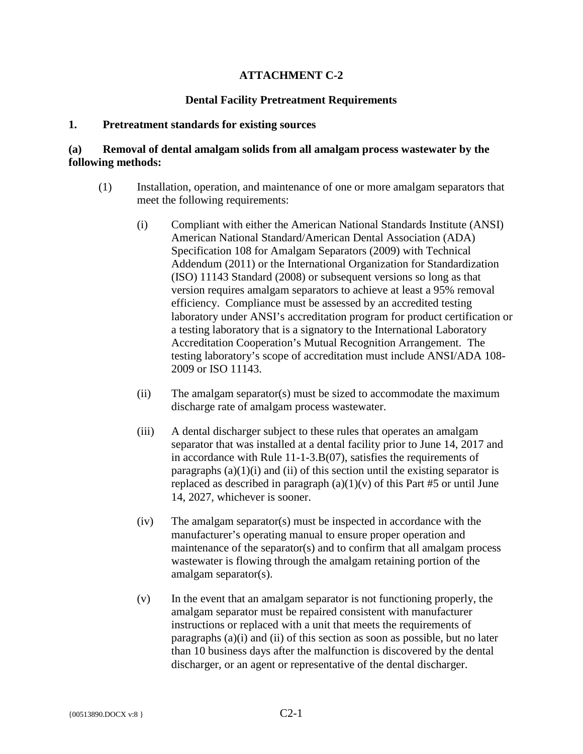# **ATTACHMENT C-2**

#### **Dental Facility Pretreatment Requirements**

#### **1. Pretreatment standards for existing sources**

#### **(a) Removal of dental amalgam solids from all amalgam process wastewater by the following methods:**

- (1) Installation, operation, and maintenance of one or more amalgam separators that meet the following requirements:
	- (i) Compliant with either the American National Standards Institute (ANSI) American National Standard/American Dental Association (ADA) Specification 108 for Amalgam Separators (2009) with Technical Addendum (2011) or the International Organization for Standardization (ISO) 11143 Standard (2008) or subsequent versions so long as that version requires amalgam separators to achieve at least a 95% removal efficiency. Compliance must be assessed by an accredited testing laboratory under ANSI's accreditation program for product certification or a testing laboratory that is a signatory to the International Laboratory Accreditation Cooperation's Mutual Recognition Arrangement. The testing laboratory's scope of accreditation must include ANSI/ADA 108- 2009 or ISO 11143.
	- (ii) The amalgam separator(s) must be sized to accommodate the maximum discharge rate of amalgam process wastewater.
	- (iii) A dental discharger subject to these rules that operates an amalgam separator that was installed at a dental facility prior to June 14, 2017 and in accordance with Rule 11-1-3.B(07), satisfies the requirements of paragraphs  $(a)(1)(i)$  and  $(ii)$  of this section until the existing separator is replaced as described in paragraph  $(a)(1)(v)$  of this Part #5 or until June 14, 2027, whichever is sooner.
	- (iv) The amalgam separator(s) must be inspected in accordance with the manufacturer's operating manual to ensure proper operation and maintenance of the separator(s) and to confirm that all amalgam process wastewater is flowing through the amalgam retaining portion of the amalgam separator(s).
	- (v) In the event that an amalgam separator is not functioning properly, the amalgam separator must be repaired consistent with manufacturer instructions or replaced with a unit that meets the requirements of paragraphs (a)(i) and (ii) of this section as soon as possible, but no later than 10 business days after the malfunction is discovered by the dental discharger, or an agent or representative of the dental discharger.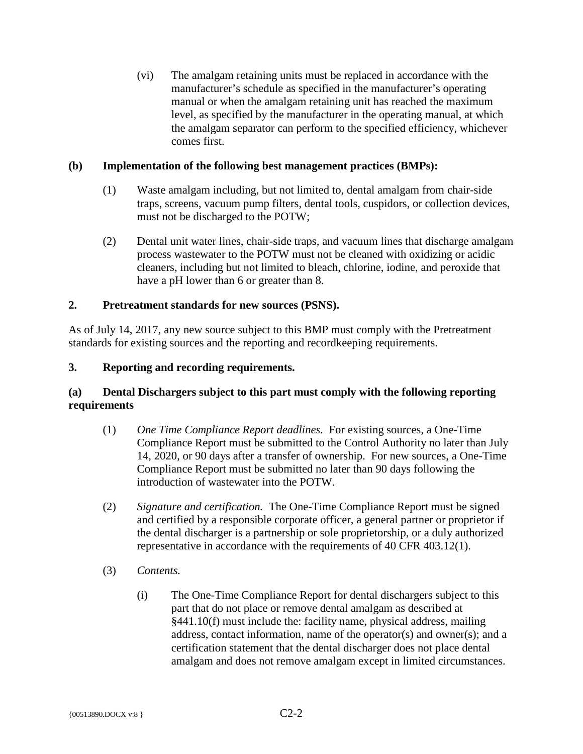(vi) The amalgam retaining units must be replaced in accordance with the manufacturer's schedule as specified in the manufacturer's operating manual or when the amalgam retaining unit has reached the maximum level, as specified by the manufacturer in the operating manual, at which the amalgam separator can perform to the specified efficiency, whichever comes first.

# **(b) Implementation of the following best management practices (BMPs):**

- (1) Waste amalgam including, but not limited to, dental amalgam from chair-side traps, screens, vacuum pump filters, dental tools, cuspidors, or collection devices, must not be discharged to the POTW;
- (2) Dental unit water lines, chair-side traps, and vacuum lines that discharge amalgam process wastewater to the POTW must not be cleaned with oxidizing or acidic cleaners, including but not limited to bleach, chlorine, iodine, and peroxide that have a pH lower than 6 or greater than 8.

# **2. Pretreatment standards for new sources (PSNS).**

As of July 14, 2017, any new source subject to this BMP must comply with the Pretreatment standards for existing sources and the reporting and recordkeeping requirements.

# **3. Reporting and recording requirements.**

# **(a) Dental Dischargers subject to this part must comply with the following reporting requirements**

- (1) *One Time Compliance Report deadlines.* For existing sources, a One-Time Compliance Report must be submitted to the Control Authority no later than July 14, 2020, or 90 days after a transfer of ownership. For new sources, a One-Time Compliance Report must be submitted no later than 90 days following the introduction of wastewater into the POTW.
- (2) *Signature and certification.* The One-Time Compliance Report must be signed and certified by a responsible corporate officer, a general partner or proprietor if the dental discharger is a partnership or sole proprietorship, or a duly authorized representative in accordance with the requirements of 40 CFR 403.12(1).
- (3) *Contents.*
	- (i) The One-Time Compliance Report for dental dischargers subject to this part that do not place or remove dental amalgam as described at §441.10(f) must include the: facility name, physical address, mailing address, contact information, name of the operator(s) and owner(s); and a certification statement that the dental discharger does not place dental amalgam and does not remove amalgam except in limited circumstances.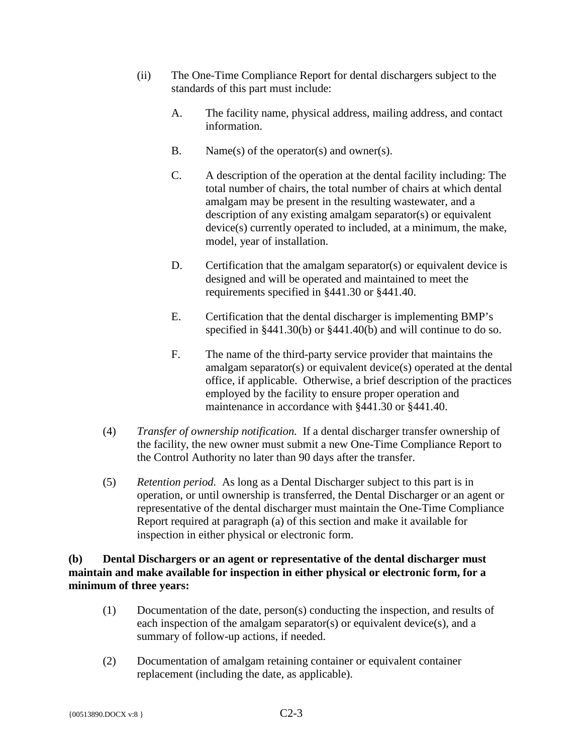- (ii) The One-Time Compliance Report for dental dischargers subject to the standards of this part must include:
	- A. The facility name, physical address, mailing address, and contact information.
	- B. Name(s) of the operator(s) and owner(s).
	- C. A description of the operation at the dental facility including: The total number of chairs, the total number of chairs at which dental amalgam may be present in the resulting wastewater, and a description of any existing amalgam separator(s) or equivalent device(s) currently operated to included, at a minimum, the make, model, year of installation.
	- D. Certification that the amalgam separator(s) or equivalent device is designed and will be operated and maintained to meet the requirements specified in §441.30 or §441.40.
	- E. Certification that the dental discharger is implementing BMP's specified in §441.30(b) or §441.40(b) and will continue to do so.
	- F. The name of the third-party service provider that maintains the amalgam separator(s) or equivalent device(s) operated at the dental office, if applicable. Otherwise, a brief description of the practices employed by the facility to ensure proper operation and maintenance in accordance with §441.30 or §441.40.
- (4) *Transfer of ownership notification.* If a dental discharger transfer ownership of the facility, the new owner must submit a new One-Time Compliance Report to the Control Authority no later than 90 days after the transfer.
- (5) *Retention period.* As long as a Dental Discharger subject to this part is in operation, or until ownership is transferred, the Dental Discharger or an agent or representative of the dental discharger must maintain the One-Time Compliance Report required at paragraph (a) of this section and make it available for inspection in either physical or electronic form.

# **(b) Dental Dischargers or an agent or representative of the dental discharger must maintain and make available for inspection in either physical or electronic form, for a minimum of three years:**

- (1) Documentation of the date, person(s) conducting the inspection, and results of each inspection of the amalgam separator(s) or equivalent device(s), and a summary of follow-up actions, if needed.
- (2) Documentation of amalgam retaining container or equivalent container replacement (including the date, as applicable).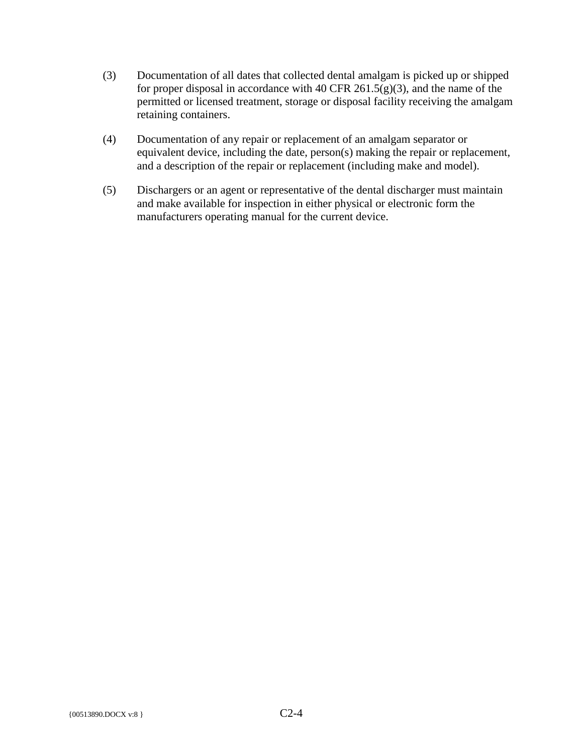- (3) Documentation of all dates that collected dental amalgam is picked up or shipped for proper disposal in accordance with 40 CFR 261.5(g)(3), and the name of the permitted or licensed treatment, storage or disposal facility receiving the amalgam retaining containers.
- (4) Documentation of any repair or replacement of an amalgam separator or equivalent device, including the date, person(s) making the repair or replacement, and a description of the repair or replacement (including make and model).
- (5) Dischargers or an agent or representative of the dental discharger must maintain and make available for inspection in either physical or electronic form the manufacturers operating manual for the current device.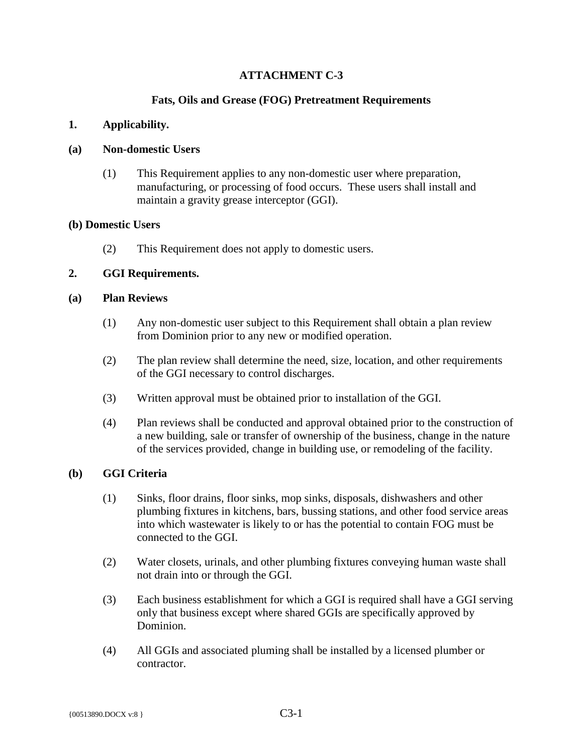# **ATTACHMENT C-3**

# **Fats, Oils and Grease (FOG) Pretreatment Requirements**

# **1. Applicability.**

#### **(a) Non-domestic Users**

(1) This Requirement applies to any non-domestic user where preparation, manufacturing, or processing of food occurs. These users shall install and maintain a gravity grease interceptor (GGI).

#### **(b) Domestic Users**

(2) This Requirement does not apply to domestic users.

# **2. GGI Requirements.**

#### **(a) Plan Reviews**

- (1) Any non-domestic user subject to this Requirement shall obtain a plan review from Dominion prior to any new or modified operation.
- (2) The plan review shall determine the need, size, location, and other requirements of the GGI necessary to control discharges.
- (3) Written approval must be obtained prior to installation of the GGI.
- (4) Plan reviews shall be conducted and approval obtained prior to the construction of a new building, sale or transfer of ownership of the business, change in the nature of the services provided, change in building use, or remodeling of the facility.

# **(b) GGI Criteria**

- (1) Sinks, floor drains, floor sinks, mop sinks, disposals, dishwashers and other plumbing fixtures in kitchens, bars, bussing stations, and other food service areas into which wastewater is likely to or has the potential to contain FOG must be connected to the GGI.
- (2) Water closets, urinals, and other plumbing fixtures conveying human waste shall not drain into or through the GGI.
- (3) Each business establishment for which a GGI is required shall have a GGI serving only that business except where shared GGIs are specifically approved by Dominion.
- (4) All GGIs and associated pluming shall be installed by a licensed plumber or contractor.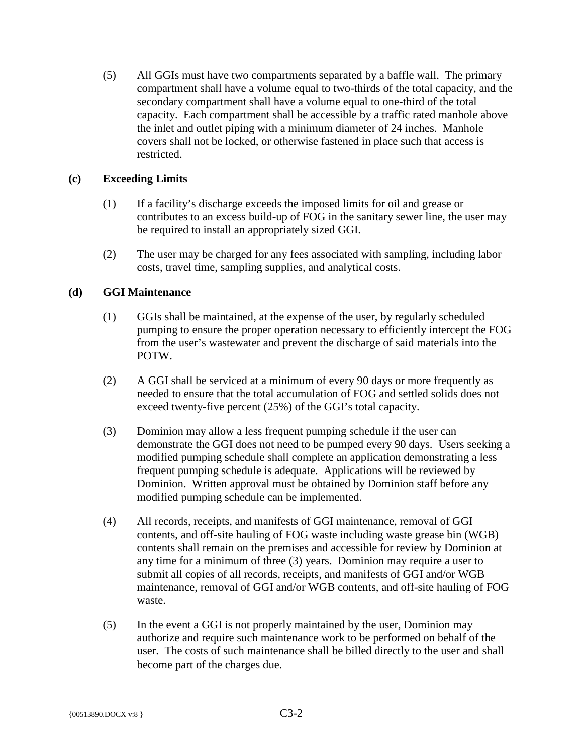(5) All GGIs must have two compartments separated by a baffle wall. The primary compartment shall have a volume equal to two-thirds of the total capacity, and the secondary compartment shall have a volume equal to one-third of the total capacity. Each compartment shall be accessible by a traffic rated manhole above the inlet and outlet piping with a minimum diameter of 24 inches. Manhole covers shall not be locked, or otherwise fastened in place such that access is restricted.

# **(c) Exceeding Limits**

- (1) If a facility's discharge exceeds the imposed limits for oil and grease or contributes to an excess build-up of FOG in the sanitary sewer line, the user may be required to install an appropriately sized GGI.
- (2) The user may be charged for any fees associated with sampling, including labor costs, travel time, sampling supplies, and analytical costs.

# **(d) GGI Maintenance**

- (1) GGIs shall be maintained, at the expense of the user, by regularly scheduled pumping to ensure the proper operation necessary to efficiently intercept the FOG from the user's wastewater and prevent the discharge of said materials into the POTW.
- (2) A GGI shall be serviced at a minimum of every 90 days or more frequently as needed to ensure that the total accumulation of FOG and settled solids does not exceed twenty-five percent (25%) of the GGI's total capacity.
- (3) Dominion may allow a less frequent pumping schedule if the user can demonstrate the GGI does not need to be pumped every 90 days. Users seeking a modified pumping schedule shall complete an application demonstrating a less frequent pumping schedule is adequate. Applications will be reviewed by Dominion. Written approval must be obtained by Dominion staff before any modified pumping schedule can be implemented.
- (4) All records, receipts, and manifests of GGI maintenance, removal of GGI contents, and off-site hauling of FOG waste including waste grease bin (WGB) contents shall remain on the premises and accessible for review by Dominion at any time for a minimum of three (3) years. Dominion may require a user to submit all copies of all records, receipts, and manifests of GGI and/or WGB maintenance, removal of GGI and/or WGB contents, and off-site hauling of FOG waste.
- (5) In the event a GGI is not properly maintained by the user, Dominion may authorize and require such maintenance work to be performed on behalf of the user. The costs of such maintenance shall be billed directly to the user and shall become part of the charges due.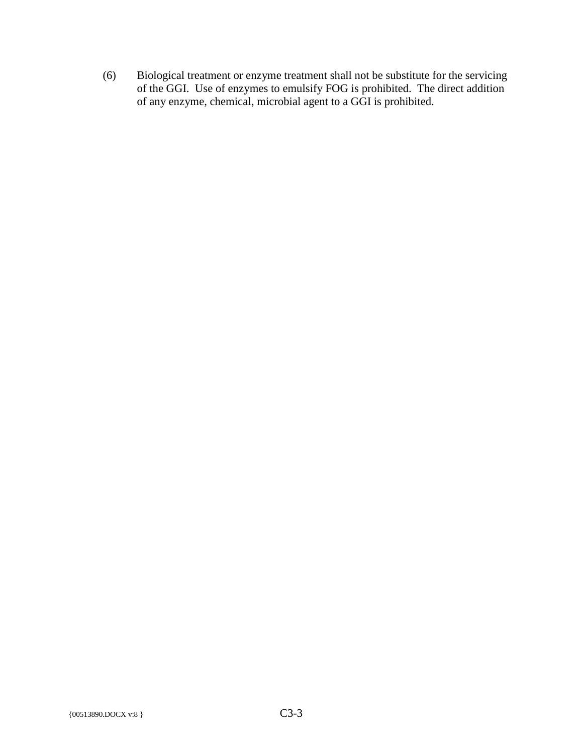(6) Biological treatment or enzyme treatment shall not be substitute for the servicing of the GGI. Use of enzymes to emulsify FOG is prohibited. The direct addition of any enzyme, chemical, microbial agent to a GGI is prohibited.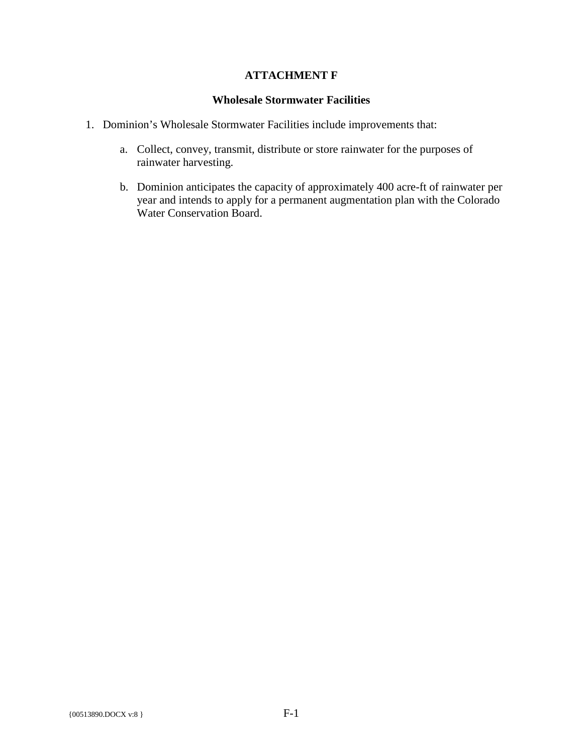# **ATTACHMENT F**

#### **Wholesale Stormwater Facilities**

- 1. Dominion's Wholesale Stormwater Facilities include improvements that:
	- a. Collect, convey, transmit, distribute or store rainwater for the purposes of rainwater harvesting.
	- b. Dominion anticipates the capacity of approximately 400 acre-ft of rainwater per year and intends to apply for a permanent augmentation plan with the Colorado Water Conservation Board.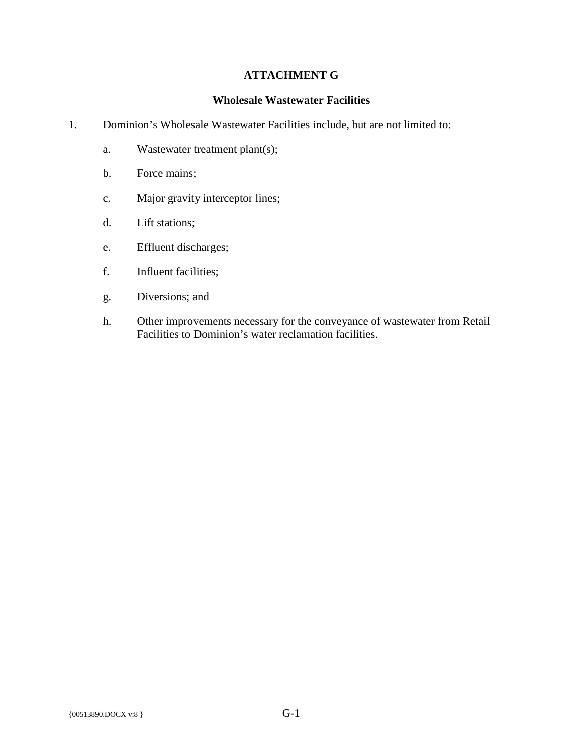# **ATTACHMENT G**

#### **Wholesale Wastewater Facilities**

- 1. Dominion's Wholesale Wastewater Facilities include, but are not limited to:
	- a. Wastewater treatment plant(s);
	- b. Force mains;
	- c. Major gravity interceptor lines;
	- d. Lift stations;
	- e. Effluent discharges;
	- f. Influent facilities;
	- g. Diversions; and
	- h. Other improvements necessary for the conveyance of wastewater from Retail Facilities to Dominion's water reclamation facilities.